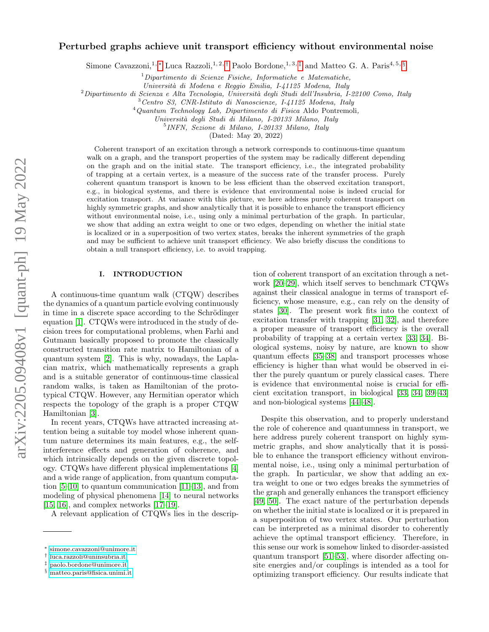# arXiv:2205.09408v1 [quant-ph] 19 May 2022 arXiv:2205.09408v1 [quant-ph] 19 May 2022

# Perturbed graphs achieve unit transport efficiency without environmental noise

Simone Cavazzoni,<sup>1, \*</sup> Luca Razzoli,<sup>1, 2, [†](#page-0-1)</sup> Paolo Bordone,<sup>1, 3, [‡](#page-0-2)</sup> and Matteo G. A. Paris<sup>4, 5, [§](#page-0-3)</sup>

 $1$ Dipartimento di Scienze Fisiche, Informatiche e Matematiche,

Universit`a di Modena e Reggio Emilia, I-41125 Modena, Italy

 $2$ Dipartimento di Scienza e Alta Tecnologia, Università degli Studi dell'Insubria, I-22100 Como, Italy

<sup>3</sup>Centro S3, CNR-Istituto di Nanoscienze, I-41125 Modena, Italy

 $4$ Quantum Technology Lab, Dipartimento di Fisica Aldo Pontremoli,

Universit`a degli Studi di Milano, I-20133 Milano, Italy

5 INFN, Sezione di Milano, I-20133 Milano, Italy

(Dated: May 20, 2022)

Coherent transport of an excitation through a network corresponds to continuous-time quantum walk on a graph, and the transport properties of the system may be radically different depending on the graph and on the initial state. The transport efficiency, i.e., the integrated probability of trapping at a certain vertex, is a measure of the success rate of the transfer process. Purely coherent quantum transport is known to be less efficient than the observed excitation transport, e.g., in biological systems, and there is evidence that environmental noise is indeed crucial for excitation transport. At variance with this picture, we here address purely coherent transport on highly symmetric graphs, and show analytically that it is possible to enhance the transport efficiency without environmental noise, i.e., using only a minimal perturbation of the graph. In particular, we show that adding an extra weight to one or two edges, depending on whether the initial state is localized or in a superposition of two vertex states, breaks the inherent symmetries of the graph and may be sufficient to achieve unit transport efficiency. We also briefly discuss the conditions to obtain a null transport efficiency, i.e. to avoid trapping.

## I. INTRODUCTION

A continuous-time quantum walk (CTQW) describes the dynamics of a quantum particle evolving continuously in time in a discrete space according to the Schrödinger equation [\[1\]](#page-16-0). CTQWs were introduced in the study of decision trees for computational problems, when Farhi and Gutmann basically proposed to promote the classically constructed transition rate matrix to Hamiltonian of a quantum system [\[2\]](#page-16-1). This is why, nowadays, the Laplacian matrix, which mathematically represents a graph and is a suitable generator of continuous-time classical random walks, is taken as Hamiltonian of the prototypical CTQW. However, any Hermitian operator which respects the topology of the graph is a proper CTQW Hamiltonian [\[3\]](#page-16-2).

In recent years, CTQWs have attracted increasing attention being a suitable toy model whose inherent quantum nature determines its main features, e.g., the selfinterference effects and generation of coherence, and which intrinsically depends on the given discrete topology. CTQWs have different physical implementations [\[4\]](#page-16-3) and a wide range of application, from quantum computation [\[5–](#page-16-4)[10\]](#page-16-5) to quantum communication [\[11–](#page-16-6)[13\]](#page-16-7), and from modeling of physical phenomena [\[14\]](#page-16-8) to neural networks [\[15,](#page-16-9) [16\]](#page-16-10), and complex networks [\[17–](#page-16-11)[19\]](#page-16-12).

A relevant application of CTQWs lies in the descrip-

tion of coherent transport of an excitation through a network [\[20–](#page-16-13)[29\]](#page-16-14), which itself serves to benchmark CTQWs against their classical analogue in terms of transport efficiency, whose measure, e.g., can rely on the density of states [\[30\]](#page-16-15). The present work fits into the context of excitation transfer with trapping [\[31,](#page-16-16) [32\]](#page-16-17), and therefore a proper measure of transport efficiency is the overall probability of trapping at a certain vertex [\[33,](#page-16-18) [34\]](#page-16-19). Biological systems, noisy by nature, are known to show quantum effects [\[35](#page-17-0)[–38\]](#page-17-1) and transport processes whose efficiency is higher than what would be observed in either the purely quantum or purely classical cases. There is evidence that environmental noise is crucial for efficient excitation transport, in biological [\[33,](#page-16-18) [34,](#page-16-19) [39](#page-17-2)[–43\]](#page-17-3) and non-biological systems [\[44–](#page-17-4)[48\]](#page-17-5).

Despite this observation, and to properly understand the role of coherence and quantumness in transport, we here address purely coherent transport on highly symmetric graphs, and show analytically that it is possible to enhance the transport efficiency without environmental noise, i.e., using only a minimal perturbation of the graph. In particular, we show that adding an extra weight to one or two edges breaks the symmetries of the graph and generally enhances the transport efficiency [\[49,](#page-17-6) [50\]](#page-17-7). The exact nature of the perturbation depends on whether the initial state is localized or it is prepared in a superposition of two vertex states. Our perturbation can be interpreted as a minimal disorder to coherently achieve the optimal transport efficiency. Therefore, in this sense our work is somehow linked to disorder-assisted quantum transport [\[51](#page-17-8)[–53\]](#page-17-9), where disorder affecting onsite energies and/or couplings is intended as a tool for optimizing transport efficiency. Our results indicate that

<span id="page-0-0"></span><sup>∗</sup> [simone.cavazzoni@unimore.it](mailto:simone.cavazzoni@unimore.it)

<span id="page-0-1"></span><sup>†</sup> [luca.razzoli@uninsubria.it](mailto:luca.razzoli@uninsubria.it)

<span id="page-0-2"></span><sup>‡</sup> [paolo.bordone@unimore.it](mailto:paolo.bordone@unimore.it)

<span id="page-0-3"></span><sup>§</sup> [matteo.paris@fisica.unimi.it](mailto:matteo.paris@fisica.unimi.it)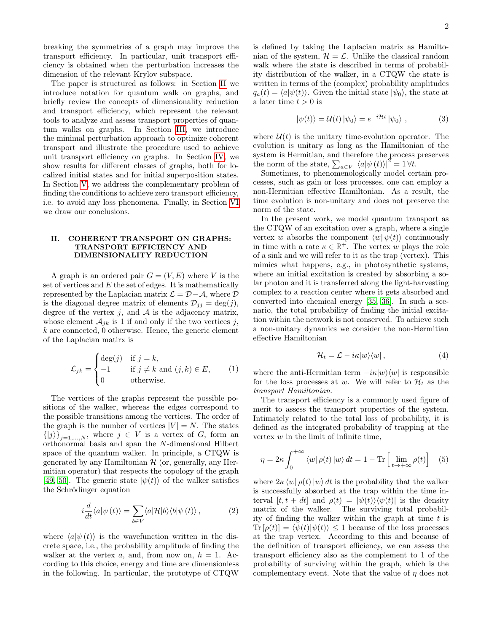breaking the symmetries of a graph may improve the transport efficiency. In particular, unit transport efficiency is obtained when the perturbation increases the dimension of the relevant Krylov subspace.

The paper is structured as follows: in Section [II](#page-1-0) we introduce notation for quantum walk on graphs, and briefly review the concepts of dimensionality reduction and transport efficiency, which represent the relevant tools to analyze and assess transport properties of quantum walks on graphs. In Section [III,](#page-2-0) we introduce the minimal perturbation approach to optimize coherent transport and illustrate the procedure used to achieve unit transport efficiency on graphs. In Section [IV,](#page-3-0) we show results for different classes of graphs, both for localized initial states and for initial superposition states. In Section [V,](#page-11-0) we address the complementary problem of finding the conditions to achieve zero transport efficiency, i.e. to avoid any loss phenomena. Finally, in Section [VI](#page-12-0) we draw our conclusions.

## <span id="page-1-0"></span>II. COHERENT TRANSPORT ON GRAPHS: TRANSPORT EFFICIENCY AND DIMENSIONALITY REDUCTION

A graph is an ordered pair  $G = (V, E)$  where V is the set of vertices and  $E$  the set of edges. It is mathematically represented by the Laplacian matrix  $\mathcal{L} = \mathcal{D} - \mathcal{A}$ , where  $\mathcal{D}$ is the diagonal degree matrix of elements  $\mathcal{D}_{ij} = \deg(j)$ , degree of the vertex  $j$ , and  $A$  is the adjacency matrix, whose element  $A_{ik}$  is 1 if and only if the two vertices j,  $k$  are connected, 0 otherwise. Hence, the generic element of the Laplacian matirx is

$$
\mathcal{L}_{jk} = \begin{cases}\n\deg(j) & \text{if } j = k, \\
-1 & \text{if } j \neq k \text{ and } (j, k) \in E, \\
0 & \text{otherwise.} \n\end{cases}
$$
\n(1)

The vertices of the graphs represent the possible positions of the walker, whereas the edges correspond to the possible transitions among the vertices. The order of the graph is the number of vertices  $|V| = N$ . The states  $\{|j\rangle\}_{j=1,...,N}$ , where  $j \in V$  is a vertex of G, form an orthonormal basis and span the N-dimensional Hilbert space of the quantum walker. In principle, a CTQW is generated by any Hamiltonian  $H$  (or, generally, any Hermitian operator) that respects the topology of the graph [\[49,](#page-17-6) [50\]](#page-17-7). The generic state  $|\psi(t)\rangle$  of the walker satisfies the Schrödinger equation

$$
i\frac{d}{dt}\langle a|\psi(t)\rangle = \sum_{b\in V}\langle a|\mathcal{H}|b\rangle\langle b|\psi(t)\rangle ,\qquad (2)
$$

where  $\langle a|\psi(t)\rangle$  is the wavefunction written in the discrete space, i.e., the probability amplitude of finding the walker at the vertex a, and, from now on,  $\hbar = 1$ . According to this choice, energy and time are dimensionless in the following. In particular, the prototype of CTQW is defined by taking the Laplacian matrix as Hamiltonian of the system,  $\mathcal{H} = \mathcal{L}$ . Unlike the classical random walk where the state is described in terms of probability distribution of the walker, in a CTQW the state is written in terms of the (complex) probability amplitudes  $q_a(t) = \langle a|\psi(t)\rangle$ . Given the initial state  $|\psi_0\rangle$ , the state at a later time  $t > 0$  is

$$
|\psi(t)\rangle = \mathcal{U}(t) |\psi_0\rangle = e^{-i\mathcal{H}t} |\psi_0\rangle , \qquad (3)
$$

where  $\mathcal{U}(t)$  is the unitary time-evolution operator. The evolution is unitary as long as the Hamiltonian of the system is Hermitian, and therefore the process preserves the norm of the state,  $\sum_{a \in V} |\langle a|\psi(t)\rangle|^2 = 1 \forall t$ .

Sometimes, to phenomenologically model certain processes, such as gain or loss processes, one can employ a non-Hermitian effective Hamiltonian. As a result, the time evolution is non-unitary and does not preserve the norm of the state.

In the present work, we model quantum transport as the CTQW of an excitation over a graph, where a single vertex w absorbs the component  $\langle w | \psi(t) \rangle$  continuously in time with a rate  $\kappa \in \mathbb{R}^+$ . The vertex w plays the role of a sink and we will refer to it as the trap (vertex). This mimics what happens, e.g., in photosynthetic systems, where an initial excitation is created by absorbing a solar photon and it is transferred along the light-harvesting complex to a reaction center where it gets absorbed and converted into chemical energy [\[35,](#page-17-0) [36\]](#page-17-10). In such a scenario, the total probability of finding the initial excitation within the network is not conserved. To achieve such a non-unitary dynamics we consider the non-Hermitian effective Hamiltonian

<span id="page-1-2"></span>
$$
\mathcal{H}_t = \mathcal{L} - i\kappa |w\rangle\langle w| \,,\tag{4}
$$

where the anti-Hermitian term  $-i\kappa|w\rangle\langle w|$  is responsible for the loss processes at w. We will refer to  $\mathcal{H}_t$  as the transport Hamiltonian.

The transport efficiency is a commonly used figure of merit to assess the transport properties of the system. Intimately related to the total loss of probability, it is defined as the integrated probability of trapping at the vertex  $w$  in the limit of infinite time,

<span id="page-1-1"></span>
$$
\eta = 2\kappa \int_0^{+\infty} \langle w | \rho(t) | w \rangle dt = 1 - \text{Tr} \left[ \lim_{t \to +\infty} \rho(t) \right] \quad (5)
$$

where  $2\kappa \langle w|\rho(t)|w\rangle dt$  is the probability that the walker is successfully absorbed at the trap within the time interval  $[t, t + dt]$  and  $\rho(t) = |\psi(t)\rangle \langle \psi(t)|$  is the density matrix of the walker. The surviving total probability of finding the walker within the graph at time  $t$  is  $\text{Tr}[\rho(t)] = \langle \psi(t)|\psi(t)\rangle \leq 1$  because of the loss processes at the trap vertex. According to this and because of the definition of transport efficiency, we can assess the transport efficiency also as the complement to 1 of the probability of surviving within the graph, which is the complementary event. Note that the value of  $\eta$  does not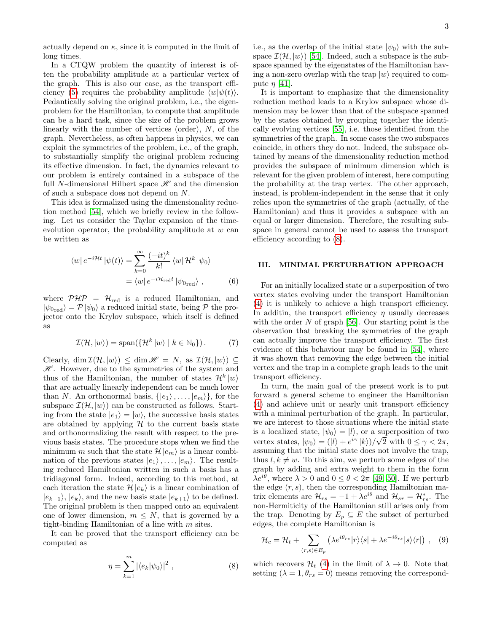actually depend on  $\kappa$ , since it is computed in the limit of long times.

In a CTQW problem the quantity of interest is often the probability amplitude at a particular vertex of the graph. This is also our case, as the transport effi-ciency [\(5\)](#page-1-1) requires the probability amplitude  $\langle w|\psi(t)\rangle$ . Pedantically solving the original problem, i.e., the eigenproblem for the Hamiltonian, to compute that amplitude can be a hard task, since the size of the problem grows linearly with the number of vertices (order), N, of the graph. Nevertheless, as often happens in physics, we can exploit the symmetries of the problem, i.e., of the graph, to substantially simplify the original problem reducing its effective dimension. In fact, the dynamics relevant to our problem is entirely contained in a subspace of the full N-dimensional Hilbert space  $\mathscr H$  and the dimension of such a subspace does not depend on N.

This idea is formalized using the dimensionality reduction method [\[54\]](#page-17-11), which we briefly review in the following. Let us consider the Taylor expansion of the timeevolution operator, the probability amplitude at  $w$  can be written as

$$
\langle w|e^{-i\mathcal{H}t}|\psi(t)\rangle = \sum_{k=0}^{\infty} \frac{(-it)^k}{k!} \langle w|\mathcal{H}^k|\psi_0\rangle
$$

$$
= \langle w|e^{-i\mathcal{H}_{\text{red}}t}|\psi_{0\text{red}}\rangle , \qquad (6)
$$

where  $\mathcal{PHP} = \mathcal{H}_{\text{red}}$  is a reduced Hamiltonian, and  $|\psi_{0\text{red}}\rangle = \mathcal{P} |\psi_0\rangle$  a reduced initial state, being  $\mathcal{P}$  the projector onto the Krylov subspace, which itself is defined as

<span id="page-2-3"></span>
$$
\mathcal{I}(\mathcal{H}, |w\rangle) = \text{span}(\{\mathcal{H}^k | w\rangle \mid k \in \mathbb{N}_0\}).\tag{7}
$$

Clearly, dim  $\mathcal{I}(\mathcal{H}, |w\rangle) \leq \dim \mathcal{H} = N$ , as  $\mathcal{I}(\mathcal{H}, |w\rangle) \subseteq$  $\mathscr{H}$ . However, due to the symmetries of the system and thus of the Hamiltonian, the number of states  $\mathcal{H}^k |w\rangle$ that are actually linearly independent can be much lower than N. An orthonormal basis,  $\{|e_1\rangle, \ldots, |e_m\rangle\}$ , for the subspace  $\mathcal{I}(\mathcal{H}, |w\rangle)$  can be constructed as follows. Starting from the state  $|e_1\rangle = |w\rangle$ , the successive basis states are obtained by applying  $H$  to the current basis state and orthonormalizing the result with respect to the previous basis states. The procedure stops when we find the minimum m such that the state  $\mathcal{H}|e_m\rangle$  is a linear combination of the previous states  $|e_1\rangle, \ldots, |e_m\rangle$ . The resulting reduced Hamiltonian written in such a basis has a tridiagonal form. Indeed, according to this method, at each iteration the state  $\mathcal{H} |e_k\rangle$  is a linear combination of  $|e_{k-1}\rangle$ ,  $|e_k\rangle$ , and the new basis state  $|e_{k+1}\rangle$  to be defined. The original problem is then mapped onto an equivalent one of lower dimension,  $m \leq N$ , that is governed by a tight-binding Hamiltonian of a line with  $m$  sites.

It can be proved that the transport efficiency can be computed as

<span id="page-2-1"></span>
$$
\eta = \sum_{k=1}^{m} |\langle e_k | \psi_0 \rangle|^2 , \qquad (8)
$$

i.e., as the overlap of the initial state  $|\psi_0\rangle$  with the subspace  $\mathcal{I}(\mathcal{H}, |w\rangle)$  [\[54\]](#page-17-11). Indeed, such a subspace is the subspace spanned by the eigenstates of the Hamiltonian having a non-zero overlap with the trap  $|w\rangle$  required to compute  $\eta$  [\[41\]](#page-17-12).

It is important to emphasize that the dimensionality reduction method leads to a Krylov subspace whose dimension may be lower than that of the subspace spanned by the states obtained by grouping together the identically evolving vertices [\[55\]](#page-17-13), i.e. those identified from the symmetries of the graph. In some cases the two subspaces coincide, in others they do not. Indeed, the subspace obtained by means of the dimensionality reduction method provides the subspace of minimum dimension which is relevant for the given problem of interest, here computing the probability at the trap vertex. The other approach, instead, is problem-independent in the sense that it only relies upon the symmetries of the graph (actually, of the Hamiltonian) and thus it provides a subspace with an equal or larger dimension. Therefore, the resulting subspace in general cannot be used to assess the transport efficiency according to [\(8\)](#page-2-1).

#### <span id="page-2-0"></span>III. MINIMAL PERTURBATION APPROACH

For an initially localized state or a superposition of two vertex states evolving under the transport Hamiltonian [\(4\)](#page-1-2) it is unlikely to achieve a high transport efficiency. In additin, the transport efficiency  $\eta$  usually decreases with the order N of graph [\[56\]](#page-17-14). Our starting point is the observation that breaking the symmetries of the graph can actually improve the transport efficiency. The first evidence of this behaviour may be found in [\[54\]](#page-17-11), where it was shown that removing the edge between the initial vertex and the trap in a complete graph leads to the unit transport efficiency.

In turn, the main goal of the present work is to put forward a general scheme to engineer the Hamiltonian [\(4\)](#page-1-2) and achieve unit or nearly unit transport efficiency with a minimal perturbation of the graph. In particular, we are interest to those situations where the initial state is a localized state,  $|\psi_0\rangle = |l\rangle$ , or a superposition of two vertex states,  $|\psi_0\rangle = (|l\rangle + e^{i\gamma} |k\rangle)/\sqrt{2}$  with  $0 \le \gamma < 2\pi$ , assuming that the initial state does not involve the trap, thus  $l, k \neq w$ . To this aim, we perturb some edges of the graph by adding and extra weight to them in the form  $\lambda e^{i\theta}$ , where  $\lambda > 0$  and  $0 \le \theta < 2\pi$  [\[49,](#page-17-6) [50\]](#page-17-7). If we perturb the edge  $(r, s)$ , then the corresponding Hamiltonian matrix elements are  $\mathcal{H}_{rs} = -1 + \lambda e^{i\theta}$  and  $\mathcal{H}_{sr} = \mathcal{H}_{rs}^*$ . The non-Hermiticity of the Hamiltonian still arises only from the trap. Denoting by  $E_p \subseteq E$  the subset of perturbed edges, the complete Hamiltonian is

<span id="page-2-2"></span>
$$
\mathcal{H}_c = \mathcal{H}_t + \sum_{(r,s)\in E_p} \left( \lambda e^{i\theta_{rs}} |r\rangle\langle s| + \lambda e^{-i\theta_{rs}} |s\rangle\langle r| \right) , \quad (9)
$$

which recovers  $\mathcal{H}_t$  [\(4\)](#page-1-2) in the limit of  $\lambda \to 0$ . Note that setting  $(\lambda = 1, \theta_{rs} = 0)$  means removing the correspond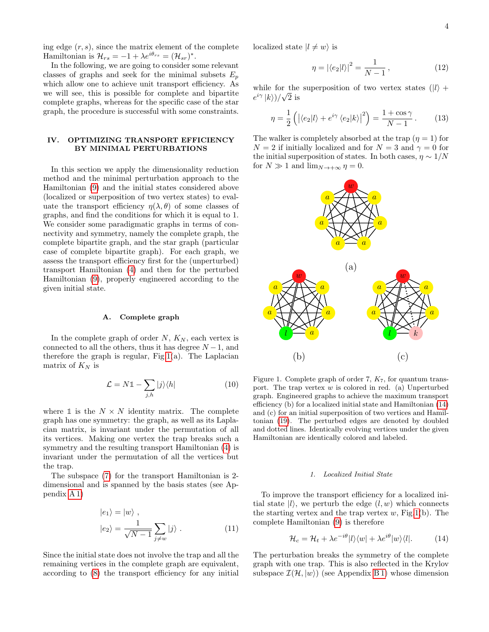ing edge  $(r, s)$ , since the matrix element of the complete Hamiltonian is  $\mathcal{H}_{rs} = -1 + \lambda e^{i\theta_{rs}} = (\mathcal{H}_{sr})^*$ .

In the following, we are going to consider some relevant classes of graphs and seek for the minimal subsets  $E_p$ which allow one to achieve unit transport efficiency. As we will see, this is possible for complete and bipartite complete graphs, whereas for the specific case of the star graph, the procedure is successful with some constraints.

# <span id="page-3-0"></span>IV. OPTIMIZING TRANSPORT EFFICIENCY BY MINIMAL PERTURBATIONS

In this section we apply the dimensionality reduction method and the minimal perturbation approach to the Hamiltonian [\(9\)](#page-2-2) and the initial states considered above (localized or superposition of two vertex states) to evaluate the transport efficiency  $\eta(\lambda, \theta)$  of some classes of graphs, and find the conditions for which it is equal to 1. We consider some paradigmatic graphs in terms of connectivity and symmetry, namely the complete graph, the complete bipartite graph, and the star graph (particular case of complete bipartite graph). For each graph, we assess the transport efficiency first for the (unperturbed) transport Hamiltonian [\(4\)](#page-1-2) and then for the perturbed Hamiltonian [\(9\)](#page-2-2), properly engineered according to the given initial state.

## A. Complete graph

In the complete graph of order  $N$ ,  $K_N$ , each vertex is connected to all the others, thus it has degree  $N-1$ , and therefore the graph is regular,  $Fig.1(a)$  $Fig.1(a)$  $Fig.1(a)$ . The Laplacian matrix of  $K_N$  is

<span id="page-3-6"></span>
$$
\mathcal{L} = N\mathbb{1} - \sum_{j,h} |j\rangle\langle h| \tag{10}
$$

where  $\mathbb{1}$  is the  $N \times N$  identity matrix. The complete graph has one symmetry: the graph, as well as its Laplacian matrix, is invariant under the permutation of all its vertices. Making one vertex the trap breaks such a symmetry and the resulting transport Hamiltonian [\(4\)](#page-1-2) is invariant under the permutation of all the vertices but the trap.

The subspace [\(7\)](#page-2-3) for the transport Hamiltonian is 2 dimensional and is spanned by the basis states (see Appendix [A 1\)](#page-13-0)

$$
|e_1\rangle = |w\rangle ,
$$
  

$$
|e_2\rangle = \frac{1}{\sqrt{N-1}} \sum_{j \neq w} |j\rangle .
$$
 (11)

Since the initial state does not involve the trap and all the remaining vertices in the complete graph are equivalent, according to [\(8\)](#page-2-1) the transport efficiency for any initial

localized state  $|l \neq w\rangle$  is

<span id="page-3-5"></span><span id="page-3-4"></span>
$$
\eta = |\langle e_2 | l \rangle|^2 = \frac{1}{N - 1},\tag{12}
$$

while for the superposition of two vertex states  $(|l\rangle +$  $e^{i\gamma} \, |k\rangle)/\sqrt{2}$  is

$$
\eta = \frac{1}{2} \left( \left| \langle e_2 | l \rangle + e^{i \gamma} \langle e_2 | k \rangle \right|^2 \right) = \frac{1 + \cos \gamma}{N - 1} . \tag{13}
$$

The walker is completely absorbed at the trap  $(\eta = 1)$  for  $N = 2$  if initially localized and for  $N = 3$  and  $\gamma = 0$  for the initial superposition of states. In both cases,  $\eta \sim 1/N$ for  $N \gg 1$  and  $\lim_{N \to +\infty} \eta = 0$ .



<span id="page-3-1"></span>Figure 1. Complete graph of order 7,  $K_7$ , for quantum transport. The trap vertex  $w$  is colored in red. (a) Unperturbed graph. Engineered graphs to achieve the maximum transport efficiency (b) for a localized initial state and Hamiltonian [\(14\)](#page-3-2) and (c) for an initial superposition of two vertices and Hamiltonian [\(19\)](#page-4-0). The perturbed edges are denoted by doubled and dotted lines. Identically evolving vertices under the given Hamiltonian are identically colored and labeled.

# 1. Localized Initial State

<span id="page-3-3"></span>To improve the transport efficiency for a localized initial state  $|l\rangle$ , we perturb the edge  $(l, w)$  which connects the starting vertex and the trap vertex  $w$ , Fig[.1\(](#page-3-1)b). The complete Hamiltonian [\(9\)](#page-2-2) is therefore

<span id="page-3-2"></span>
$$
\mathcal{H}_c = \mathcal{H}_t + \lambda e^{-i\theta} |l\rangle\langle w| + \lambda e^{i\theta} |w\rangle\langle l|. \tag{14}
$$

The perturbation breaks the symmetry of the complete graph with one trap. This is also reflected in the Krylov subspace  $\mathcal{I}(\mathcal{H}, |w\rangle)$  (see Appendix [B 1\)](#page-13-1) whose dimension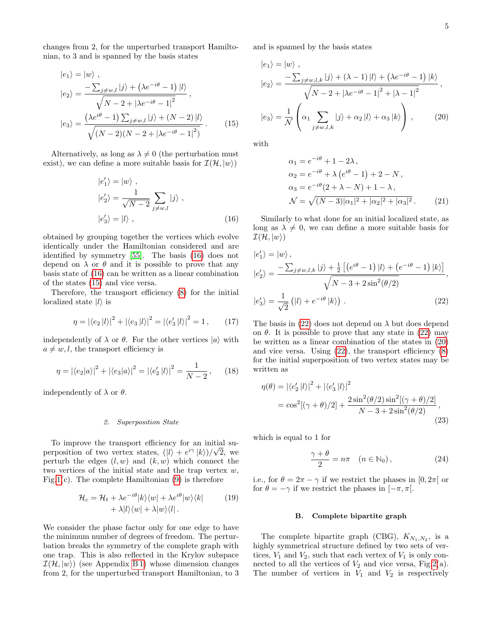changes from 2, for the unperturbed transport Hamiltonian, to 3 and is spanned by the basis states

$$
|e_{1}\rangle = |w\rangle ,
$$
  
\n
$$
|e_{2}\rangle = \frac{-\sum_{j \neq w, l} |j\rangle + (\lambda e^{-i\theta} - 1)|l\rangle}{\sqrt{N - 2 + |\lambda e^{-i\theta} - 1|^{2}}},
$$
  
\n
$$
|e_{3}\rangle = \frac{(\lambda e^{i\theta} - 1) \sum_{j \neq w, l} |j\rangle + (N - 2)|l\rangle}{\sqrt{(N - 2)(N - 2 + |\lambda e^{-i\theta} - 1|^{2})}}.
$$
 (15)

Alternatively, as long as  $\lambda \neq 0$  (the perturbation must exist), we can define a more suitable basis for  $\mathcal{I}(\mathcal{H}, |w\rangle)$ 

$$
|e'_{1}\rangle = |w\rangle ,
$$
  
\n
$$
|e'_{2}\rangle = \frac{1}{\sqrt{N-2}} \sum_{j \neq w, l} |j\rangle ,
$$
  
\n
$$
|e'_{3}\rangle = |l\rangle ,
$$
 (16)

obtained by grouping together the vertices which evolve identically under the Hamiltonian considered and are identified by symmetry [\[55\]](#page-17-13). The basis [\(16\)](#page-4-1) does not depend on  $\lambda$  or  $\theta$  and it is possible to prove that any basis state of [\(16\)](#page-4-1) can be written as a linear combination of the states [\(15\)](#page-4-2) and vice versa.

Therefore, the transport efficiency [\(8\)](#page-2-1) for the initial localized state  $|l\rangle$  is

$$
\eta = |\langle e_2 | l \rangle|^2 + |\langle e_3 | l \rangle|^2 = |\langle e_3' | l \rangle|^2 = 1, \qquad (17)
$$

independently of  $\lambda$  or  $\theta$ . For the other vertices  $|a\rangle$  with  $a \neq w, l$ , the transport efficiency is

$$
\eta = |\langle e_2 | a \rangle|^2 + |\langle e_3 | a \rangle|^2 = |\langle e_2' | l \rangle|^2 = \frac{1}{N - 2}, \qquad (18)
$$

independently of  $\lambda$  or  $\theta$ .

#### 2. Superposition State

To improve the transport efficiency for an initial superposition of two vertex states,  $(|l\rangle + e^{i\gamma} |k\rangle)/\sqrt{2}$ , we perturb the edges  $(l, w)$  and  $(k, w)$  which connect the two vertices of the initial state and the trap vertex  $w$ , Fig[.1\(](#page-3-1)c). The complete Hamiltonian  $(9)$  is therefore

$$
\mathcal{H}_c = \mathcal{H}_t + \lambda e^{-i\theta} |k\rangle\langle w| + \lambda e^{i\theta} |w\rangle\langle k|
$$
\n
$$
+ \lambda |l\rangle\langle w| + \lambda |w\rangle\langle l|.
$$
\n(19)

We consider the phase factor only for one edge to have the minimum number of degrees of freedom. The perturbation breaks the symmetry of the complete graph with one trap. This is also reflected in the Krylov subspace  $\mathcal{I}(\mathcal{H}, |w\rangle)$  (see Appendix [B 1\)](#page-13-1) whose dimension changes from 2, for the unperturbed transport Hamiltonian, to 3 and is spanned by the basis states

$$
|e_{1}\rangle = |w\rangle ,
$$
  
\n
$$
|e_{2}\rangle = \frac{-\sum_{j \neq w, l, k} |j\rangle + (\lambda - 1)|l\rangle + (\lambda e^{-i\theta} - 1)|k\rangle}{\sqrt{N - 2 + |\lambda e^{-i\theta} - 1|^{2} + |\lambda - 1|^{2}}},
$$
  
\n
$$
|e_{3}\rangle = \frac{1}{\mathcal{N}} \left( \alpha_{1} \sum_{j \neq w, l, k} |j\rangle + \alpha_{2} |l\rangle + \alpha_{3} |k\rangle \right),
$$
 (20)

<span id="page-4-2"></span>with

<span id="page-4-4"></span>
$$
\alpha_1 = e^{-i\theta} + 1 - 2\lambda,
$$
  
\n
$$
\alpha_2 = e^{-i\theta} + \lambda (e^{i\theta} - 1) + 2 - N,
$$
  
\n
$$
\alpha_3 = e^{-i\theta} (2 + \lambda - N) + 1 - \lambda,
$$
  
\n
$$
\mathcal{N} = \sqrt{(N-3)|\alpha_1|^2 + |\alpha_2|^2 + |\alpha_3|^2}.
$$
 (21)

<span id="page-4-1"></span>Similarly to what done for an initial localized state, as long as  $\lambda \neq 0$ , we can define a more suitable basis for  $\mathcal{I}(\mathcal{H}, |w\rangle)$ 

$$
|e'_{1}\rangle = |w\rangle,
$$
  
\n
$$
|e'_{2}\rangle = \frac{-\sum_{j \neq w, l, k} |j\rangle + \frac{1}{2} \left[ \left( e^{i\theta} - 1 \right) |l\rangle + \left( e^{-i\theta} - 1 \right) |k\rangle \right]}{\sqrt{N - 3 + 2\sin^{2}(\theta/2)}},
$$
  
\n
$$
|e'_{3}\rangle = \frac{1}{\sqrt{2}} \left( |l\rangle + e^{-i\theta} |k\rangle \right).
$$
\n(22)

<span id="page-4-3"></span>The basis in [\(22\)](#page-4-3) does not depend on  $\lambda$  but does depend on  $\theta$ . It is possible to prove that any state in [\(22\)](#page-4-3) may be written as a linear combination of the states in [\(20\)](#page-4-4) and vice versa. Using  $(22)$ , the transport efficiency  $(8)$ for the initial superposition of two vertex states may be written as

$$
\eta(\theta) = |\langle e_2' | l \rangle|^2 + |\langle e_3' | l \rangle|^2
$$
  
=  $\cos^2[(\gamma + \theta)/2] + \frac{2\sin^2(\theta/2)\sin^2[(\gamma + \theta)/2]}{N - 3 + 2\sin^2(\theta/2)},$  (23)

which is equal to 1 for

$$
\frac{\gamma + \theta}{2} = n\pi \quad (n \in \mathbb{N}_0), \tag{24}
$$

<span id="page-4-0"></span>i.e., for  $\theta = 2\pi - \gamma$  if we restrict the phases in [0,2 $\pi$ [ or for  $\theta = -\gamma$  if we restrict the phases in  $[-\pi, \pi]$ .

## B. Complete bipartite graph

The complete bipartite graph (CBG),  $K_{N_1,N_2}$ , is a highly symmetrical structure defined by two sets of vertices,  $V_1$  and  $V_2$ , such that each vertex of  $V_1$  is only connected to all the vertices of  $V_2$  and vice versa, Fig[.2\(](#page-5-0)a). The number of vertices in  $V_1$  and  $V_2$  is respectively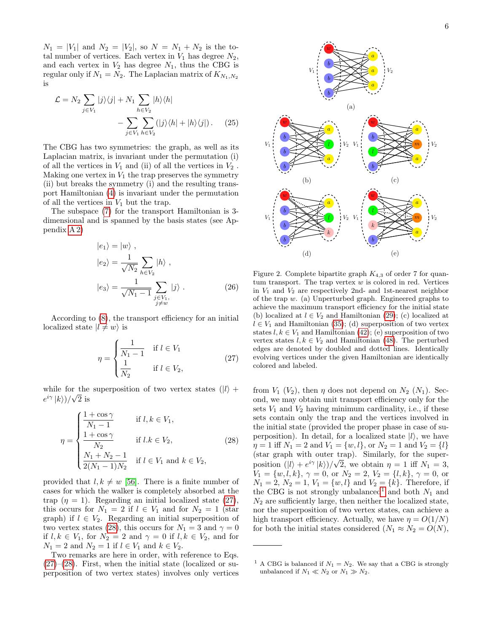$N_1 = |V_1|$  and  $N_2 = |V_2|$ , so  $N = N_1 + N_2$  is the total number of vertices. Each vertex in  $V_1$  has degree  $N_2$ , and each vertex in  $V_2$  has degree  $N_1$ , thus the CBG is regular only if  $N_1 = N_2$ . The Laplacian matrix of  $K_{N_1,N_2}$ is

$$
\mathcal{L} = N_2 \sum_{j \in V_1} |j\rangle\langle j| + N_1 \sum_{h \in V_2} |h\rangle\langle h|
$$

$$
- \sum_{j \in V_1} \sum_{h \in V_2} (|j\rangle\langle h| + |h\rangle\langle j|). \tag{25}
$$

The CBG has two symmetries: the graph, as well as its Laplacian matrix, is invariant under the permutation (i) of all the vertices in  $V_1$  and (ii) of all the vertices in  $V_2$ . Making one vertex in  $V_1$  the trap preserves the symmetry (ii) but breaks the symmetry (i) and the resulting transport Hamiltonian [\(4\)](#page-1-2) is invariant under the permutation of all the vertices in  $V_1$  but the trap.

The subspace [\(7\)](#page-2-3) for the transport Hamiltonian is 3 dimensional and is spanned by the basis states (see Appendix [A 2\)](#page-13-2)

$$
|e_1\rangle = |w\rangle ,
$$
  
\n
$$
|e_2\rangle = \frac{1}{\sqrt{N_2}} \sum_{h \in V_2} |h\rangle ,
$$
  
\n
$$
|e_3\rangle = \frac{1}{\sqrt{N_1 - 1}} \sum_{\substack{j \in V_1, \\ j \neq w}} |j\rangle .
$$
 (26)

According to [\(8\)](#page-2-1), the transport efficiency for an initial localized state  $|l \neq w\rangle$  is

<span id="page-5-1"></span>
$$
\eta = \begin{cases} \frac{1}{N_1 - 1} & \text{if } l \in V_1 \\ \frac{1}{N_2} & \text{if } l \in V_2, \end{cases} \tag{27}
$$

while for the superposition of two vertex states  $(|l\rangle +$  $e^{i\gamma} \ket{k})/\sqrt{2}$  is

<span id="page-5-2"></span>
$$
\eta = \begin{cases} \frac{1 + \cos \gamma}{N_1 - 1} & \text{if } l, k \in V_1, \\ \frac{1 + \cos \gamma}{N_2} & \text{if } l. k \in V_2, \\ \frac{N_1 + N_2 - 1}{2(N_1 - 1)N_2} & \text{if } l \in V_1 \text{ and } k \in V_2, \end{cases}
$$
(28)

provided that  $l, k \neq w$  [\[56\]](#page-17-14). There is a finite number of cases for which the walker is completely absorbed at the trap  $(\eta = 1)$ . Regarding an initial localized state [\(27\)](#page-5-1), this occurs for  $N_1 = 2$  if  $l \in V_1$  and for  $N_2 = 1$  (star graph) if  $l \in V_2$ . Regarding an initial superposition of two vertex states [\(28\)](#page-5-2), this occurs for  $N_1 = 3$  and  $\gamma = 0$ if  $l, k \in V_1$ , for  $N_2 = 2$  and  $\gamma = 0$  if  $l, k \in V_2$ , and for  $N_1 = 2$  and  $N_2 = 1$  if  $l \in V_1$  and  $k \in V_2$ .

Two remarks are here in order, with reference to Eqs.  $(27)$ – $(28)$ . First, when the initial state (localized or superposition of two vertex states) involves only vertices

<span id="page-5-5"></span>

<span id="page-5-4"></span><span id="page-5-0"></span>Figure 2. Complete bipartite graph  $K_{4,3}$  of order 7 for quantum transport. The trap vertex  $w$  is colored in red. Vertices in  $V_1$  and  $V_2$  are respectively 2nd- and 1st-nearest neighbor of the trap w. (a) Unperturbed graph. Engineered graphs to achieve the maximum transport efficiency for the initial state (b) localized at  $l \in V_2$  and Hamiltonian [\(29\)](#page-6-0); (c) localized at  $l \in V_1$  and Hamiltonian [\(35\)](#page-6-1); (d) superposition of two vertex states  $l, k \in V_1$  and Hamiltonian [\(42\)](#page-7-0); (e) superposition of two vertex states  $l, k \in V_2$  and Hamiltonian [\(48\)](#page-7-1). The perturbed edges are denoted by doubled and dotted lines. Identically evolving vertices under the given Hamiltonian are identically colored and labeled.

from  $V_1$  ( $V_2$ ), then  $\eta$  does not depend on  $N_2$  ( $N_1$ ). Second, we may obtain unit transport efficiency only for the sets  $V_1$  and  $V_2$  having minimum cardinality, i.e., if these sets contain only the trap and the vertices involved in the initial state (provided the proper phase in case of superposition). In detail, for a localized state  $|l\rangle$ , we have  $\eta = 1$  iff  $N_1 = 2$  and  $V_1 = \{w, l\}$ , or  $N_2 = 1$  and  $V_2 = \{l\}$ (star graph with outer trap). Similarly, for the superposition  $(|l\rangle + e^{i\gamma} |k\rangle)/\sqrt{2}$ , we obtain  $\eta = 1$  iff  $N_1 = 3$ ,  $V_1 = \{w, l, k\}, \gamma = 0, \text{ or } N_2 = 2, V_2 = \{l, k\}, \gamma = 0, \text{ or }$  $N_1 = 2, N_2 = 1, V_1 = \{w, l\}$  and  $V_2 = \{k\}$ . Therefore, if the CBG is not strongly unbalanced<sup>[1](#page-5-3)</sup> and both  $N_1$  and  $N_2$  are sufficiently large, then neither the localized state, nor the superposition of two vertex states, can achieve a high transport efficiency. Actually, we have  $\eta = O(1/N)$ for both the initial states considered  $(N_1 \approx N_2 = O(N),$ 

<span id="page-5-3"></span><sup>&</sup>lt;sup>1</sup> A CBG is balanced if  $N_1 = N_2$ . We say that a CBG is strongly unbalanced if  $N_1 \ll N_2$  or  $N_1 \gg N_2$ .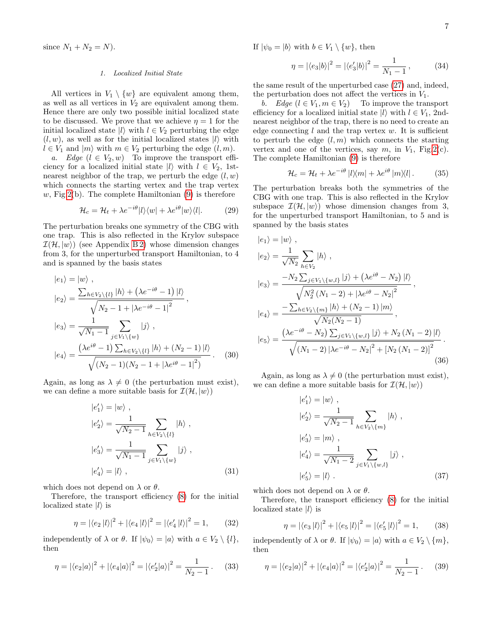since  $N_1 + N_2 = N$ ).

## 1. Localized Initial State

All vertices in  $V_1 \setminus \{w\}$  are equivalent among them, as well as all vertices in  $V_2$  are equivalent among them. Hence there are only two possible initial localized state to be discussed. We prove that we achieve  $\eta = 1$  for the initial localized state  $|l\rangle$  with  $l \in V_2$  perturbing the edge  $(l, w)$ , as well as for the initial localized states  $|l\rangle$  with  $l \in V_1$  and  $|m\rangle$  with  $m \in V_2$  perturbing the edge  $(l, m)$ .

a. Edge  $(l \in V_2, w)$  To improve the transport efficiency for a localized initial state  $|l\rangle$  with  $l \in V_2$ , 1stnearest neighbor of the trap, we perturb the edge  $(l, w)$ which connects the starting vertex and the trap vertex w, Fig. 2(b). The complete Hamiltonian  $(9)$  is therefore

<span id="page-6-0"></span>
$$
\mathcal{H}_c = \mathcal{H}_t + \lambda e^{-i\theta} |l\rangle\langle w| + \lambda e^{i\theta} |w\rangle\langle l|. \tag{29}
$$

The perturbation breaks one symmetry of the CBG with one trap. This is also reflected in the Krylov subspace  $\mathcal{I}(\mathcal{H}, |w\rangle)$  (see Appendix B2) whose dimension changes from 3, for the unperturbed transport Hamiltonian, to 4 and is spanned by the basis states

$$
|e_{1}\rangle = |w\rangle ,
$$
  
\n
$$
|e_{2}\rangle = \frac{\sum_{h \in V_{2}\setminus\{l\}} |h\rangle + (\lambda e^{-i\theta} - 1) |l\rangle}{\sqrt{N_{2} - 1 + |\lambda e^{-i\theta} - 1|^{2}}},
$$
  
\n
$$
|e_{3}\rangle = \frac{1}{\sqrt{N_{1} - 1}} \sum_{j \in V_{1}\setminus\{w\}} |j\rangle ,
$$
  
\n
$$
|e_{4}\rangle = \frac{(\lambda e^{i\theta} - 1) \sum_{h \in V_{2}\setminus\{l\}} |h\rangle + (N_{2} - 1) |l\rangle}{\sqrt{(N_{2} - 1)(N_{2} - 1 + |\lambda e^{i\theta} - 1|^{2})}}.
$$
 (30)

Again, as long as  $\lambda \neq 0$  (the perturbation must exist), we can define a more suitable basis for  $\mathcal{I}(\mathcal{H}, |w\rangle)$ 

$$
|e'_{1}\rangle = |w\rangle ,
$$
  
\n
$$
|e'_{2}\rangle = \frac{1}{\sqrt{N_{2} - 1}} \sum_{h \in V_{2} \setminus \{l\}} |h\rangle ,
$$
  
\n
$$
|e'_{3}\rangle = \frac{1}{\sqrt{N_{1} - 1}} \sum_{j \in V_{1} \setminus \{w\}} |j\rangle ,
$$
  
\n
$$
|e'_{4}\rangle = |l\rangle ,
$$
 (31)

which does not depend on  $\lambda$  or  $\theta$ .

Therefore, the transport efficiency [\(8\)](#page-2-1) for the initial localized state  $|l\rangle$  is

$$
\eta = |\langle e_2 | l \rangle|^2 + |\langle e_4 | l \rangle|^2 = |\langle e_4' | l \rangle|^2 = 1, \qquad (32)
$$

independently of  $\lambda$  or  $\theta$ . If  $|\psi_0\rangle = |a\rangle$  with  $a \in V_2 \setminus \{l\},$ then

$$
\eta = |\langle e_2 | a \rangle|^2 + |\langle e_4 | a \rangle|^2 = |\langle e_2' | a \rangle|^2 = \frac{1}{N_2 - 1}.
$$
 (33)

If  $|\psi_0 = |b\rangle$  with  $b \in V_1 \setminus \{w\}$ , then

$$
\eta = |\langle e_3 | b \rangle|^2 = |\langle e_3' | b \rangle|^2 = \frac{1}{N_1 - 1},\tag{34}
$$

the same result of the unperturbed case [\(27\)](#page-5-1) and, indeed, the perturbation does not affect the vertices in  $V_1$ .

b. Edge  $(l \in V_1, m \in V_2)$  To improve the transport efficiency for a localized initial state  $|l\rangle$  with  $l \in V_1$ , 2ndnearest neighbor of the trap, there is no need to create an edge connecting  $l$  and the trap vertex  $w$ . It is sufficient to perturb the edge  $(l, m)$  which connects the starting vertex and one of the vertices, say m, in  $V_1$ , Fig[.2\(](#page-5-0)c). The complete Hamiltonian [\(9\)](#page-2-2) is therefore

<span id="page-6-1"></span>
$$
\mathcal{H}_c = \mathcal{H}_t + \lambda e^{-i\theta} |l\rangle\langle m| + \lambda e^{i\theta} |m\rangle\langle l|.
$$
 (35)

The perturbation breaks both the symmetries of the CBG with one trap. This is also reflected in the Krylov subspace  $\mathcal{I}(\mathcal{H}, |w\rangle)$  whose dimension changes from 3, for the unperturbed transport Hamiltonian, to 5 and is spanned by the basis states

$$
|e_{1}\rangle = |w\rangle ,
$$
  
\n
$$
|e_{2}\rangle = \frac{1}{\sqrt{N_{2}}} \sum_{h \in V_{2}} |h\rangle ,
$$
  
\n
$$
|e_{3}\rangle = \frac{-N_{2} \sum_{j \in V_{1} \setminus \{w,l\}} |j\rangle + (\lambda e^{i\theta} - N_{2}) |l\rangle}{\sqrt{N_{2}^{2} (N_{1} - 2) + |\lambda e^{i\theta} - N_{2}|^{2}}},
$$
  
\n
$$
|e_{4}\rangle = \frac{-\sum_{h \in V_{2} \setminus \{m\}} |h\rangle + (N_{2} - 1) |m\rangle}{\sqrt{N_{2}(N_{2} - 1)}},
$$
  
\n
$$
|e_{5}\rangle = \frac{(\lambda e^{-i\theta} - N_{2}) \sum_{j \in V_{1} \setminus \{w,l\}} |j\rangle + N_{2} (N_{1} - 2) |l\rangle}{\sqrt{(N_{1} - 2) |\lambda e^{-i\theta} - N_{2}|^{2} + [N_{2} (N_{1} - 2)]^{2}}}.
$$
  
\n(36)

<span id="page-6-3"></span>Again, as long as  $\lambda \neq 0$  (the perturbation must exist), we can define a more suitable basis for  $\mathcal{I}(\mathcal{H}, |w\rangle)$ 

<span id="page-6-4"></span><span id="page-6-2"></span>
$$
|e'_{1}\rangle = |w\rangle ,
$$
  
\n
$$
|e'_{2}\rangle = \frac{1}{\sqrt{N_{2}-1}} \sum_{h \in V_{2}\backslash\{m\}} |h\rangle ,
$$
  
\n
$$
|e'_{3}\rangle = |m\rangle ,
$$
  
\n
$$
|e'_{4}\rangle = \frac{1}{\sqrt{N_{1}-2}} \sum_{j \in V_{1}\backslash\{w,l\}} |j\rangle ,
$$
  
\n
$$
|e'_{5}\rangle = |l\rangle .
$$
 (37)

which does not depend on  $\lambda$  or  $\theta$ .

Therefore, the transport efficiency [\(8\)](#page-2-1) for the initial localized state  $|l\rangle$  is

$$
\eta = |\langle e_3 | l \rangle|^2 + |\langle e_5 | l \rangle|^2 = |\langle e_5' | l \rangle|^2 = 1, \qquad (38)
$$

independently of  $\lambda$  or  $\theta$ . If  $|\psi_0\rangle = |a\rangle$  with  $a \in V_2 \setminus \{m\},$ then

$$
\eta = |\langle e_2 | a \rangle|^2 + |\langle e_4 | a \rangle|^2 = |\langle e_2' | a \rangle|^2 = \frac{1}{N_2 - 1}.
$$
 (39)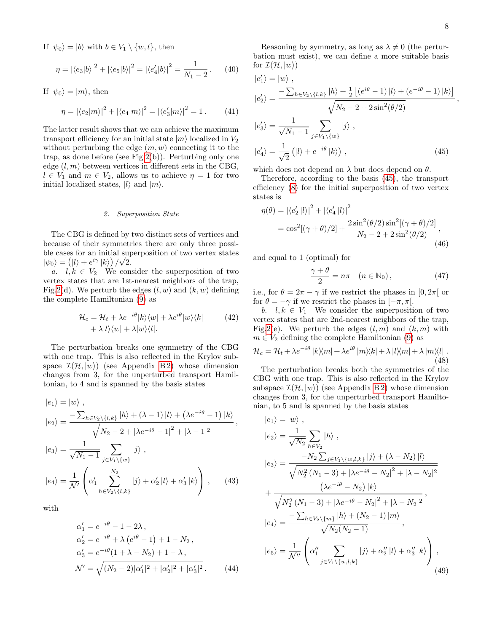If  $|\psi_0\rangle = |b\rangle$  with  $b \in V_1 \setminus \{w, l\}$ , then

$$
\eta = |\langle e_3 | b \rangle|^2 + |\langle e_5 | b \rangle|^2 = |\langle e_4' | b \rangle|^2 = \frac{1}{N_1 - 2}.
$$
 (40)

If  $|\psi_0\rangle = |m\rangle$ , then

$$
\eta = |\langle e_2 | m \rangle|^2 + |\langle e_4 | m \rangle|^2 = |\langle e_3' | m \rangle|^2 = 1. \tag{41}
$$

The latter result shows that we can achieve the maximum transport efficiency for an initial state  $|m\rangle$  localized in  $V_2$ without perturbing the edge  $(m, w)$  connecting it to the trap, as done before (see Fig[.2\(](#page-5-0)b)). Perturbing only one edge  $(l, m)$  between vertices in different sets in the CBG,  $l \in V_1$  and  $m \in V_2$ , allows us to achieve  $\eta = 1$  for two initial localized states,  $|l\rangle$  and  $|m\rangle$ .

#### 2. Superposition State

The CBG is defined by two distinct sets of vertices and because of their symmetries there are only three possible cases for an initial superposition of two vertex states  $|\psi_0\rangle = (|l\rangle + e^{i\gamma} |k\rangle)/\sqrt{2}.$ 

a.  $l, k \in V_2$  We consider the superposition of two vertex states that are 1st-nearest neighbors of the trap, Fig[.2\(](#page-5-0)d). We perturb the edges  $(l, w)$  and  $(k, w)$  defining the complete Hamiltonian [\(9\)](#page-2-2) as

$$
\mathcal{H}_c = \mathcal{H}_t + \lambda e^{-i\theta} |k\rangle\langle w| + \lambda e^{i\theta} |w\rangle\langle k|
$$
\n
$$
+ \lambda |l\rangle\langle w| + \lambda |w\rangle\langle l|.
$$
\n(42)

The perturbation breaks one symmetry of the CBG with one trap. This is also reflected in the Krylov subspace  $\mathcal{I}(\mathcal{H}, |w\rangle)$  (see Appendix B2) whose dimension changes from 3, for the unperturbed transport Hamiltonian, to 4 and is spanned by the basis states

$$
|e_{1}\rangle = |w\rangle ,
$$
  
\n
$$
|e_{2}\rangle = \frac{-\sum_{h \in V_{2} \setminus \{l,k\}} |h\rangle + (\lambda - 1)|l\rangle + (\lambda e^{-i\theta} - 1)|k\rangle}{\sqrt{N_{2} - 2 + |\lambda e^{-i\theta} - 1|^{2} + |\lambda - 1|^{2}}},
$$
  
\n
$$
|e_{3}\rangle = \frac{1}{\sqrt{N_{1} - 1}} \sum_{j \in V_{1} \setminus \{w\}} |j\rangle ,
$$
  
\n
$$
|e_{4}\rangle = \frac{1}{\mathcal{N}'} \left( \alpha_{1}' \sum_{h \in V_{2} \setminus \{l,k\}}^{N_{2}} |j\rangle + \alpha_{2}' |l\rangle + \alpha_{3}' |k\rangle \right), \quad (43)
$$

with

$$
\alpha'_1 = e^{-i\theta} - 1 - 2\lambda,
$$
  
\n
$$
\alpha'_2 = e^{-i\theta} + \lambda (e^{i\theta} - 1) + 1 - N_2,
$$
  
\n
$$
\alpha'_3 = e^{-i\theta} (1 + \lambda - N_2) + 1 - \lambda,
$$
  
\n
$$
\mathcal{N}' = \sqrt{(N_2 - 2)|\alpha'_1|^2 + |\alpha'_2|^2 + |\alpha'_3|^2}.
$$
 (44)

Reasoning by symmetry, as long as  $\lambda \neq 0$  (the perturbation must exist), we can define a more suitable basis for  $\mathcal{I}(\mathcal{H}, |w\rangle)$ 

$$
|e'_{1}\rangle = |w\rangle ,
$$
  
\n
$$
|e'_{2}\rangle = \frac{-\sum_{h \in V_{2}\backslash\{l,k\}} |h\rangle + \frac{1}{2} \left[ (e^{i\theta} - 1) |l\rangle + (e^{-i\theta} - 1) |k\rangle \right]}{\sqrt{N_{2} - 2 + 2\sin^{2}(\theta/2)}}
$$
  
\n
$$
|e'_{3}\rangle = \frac{1}{\sqrt{N_{1} - 1}} \sum_{j \in V_{1}\backslash\{w\}} |j\rangle ,
$$
  
\n
$$
|e'_{4}\rangle = \frac{1}{\sqrt{2}} (|l\rangle + e^{-i\theta} |k\rangle) ,
$$
 (45)

which does not depend on  $\lambda$  but does depend on  $\theta$ .

Therefore, according to the basis [\(45\)](#page-7-2), the transport efficiency [\(8\)](#page-2-1) for the initial superposition of two vertex states is

$$
\eta(\theta) = |\langle e_2' | l \rangle|^2 + |\langle e_4' | l \rangle|^2
$$
  
=  $\cos^2[(\gamma + \theta)/2] + \frac{2\sin^2(\theta/2)\sin^2[(\gamma + \theta)/2]}{N_2 - 2 + 2\sin^2(\theta/2)},$  (46)

and equal to 1 (optimal) for

$$
\frac{\gamma + \theta}{2} = n\pi \quad (n \in \mathbb{N}_0), \tag{47}
$$

i.e., for  $\theta = 2\pi - \gamma$  if we restrict the phases in [0,  $2\pi$ ] or for  $\theta = -\gamma$  if we restrict the phases in  $[-\pi, \pi]$ .

<span id="page-7-0"></span>b.  $l, k \in V_1$  We consider the superposition of two vertex states that are 2nd-nearest neighbors of the trap, Fig[.2\(](#page-5-0)e). We perturb the edges  $(l, m)$  and  $(k, m)$  with  $m \in V_2$  defining the complete Hamiltonian [\(9\)](#page-2-2) as

<span id="page-7-1"></span>
$$
\mathcal{H}_c = \mathcal{H}_t + \lambda e^{-i\theta} |k\rangle\langle m| + \lambda e^{i\theta} |m\rangle\langle k| + \lambda |l\rangle\langle m| + \lambda |m\rangle\langle l|.
$$
\n(48)

The perturbation breaks both the symmetries of the CBG with one trap. This is also reflected in the Krylov subspace  $\mathcal{I}(\mathcal{H}, |w\rangle)$  (see Appendix [B 2\)](#page-14-0) whose dimension changes from 3, for the unperturbed transport Hamiltonian, to 5 and is spanned by the basis states

<span id="page-7-4"></span><span id="page-7-3"></span>
$$
|e_{1}\rangle = |w\rangle ,
$$
  
\n
$$
|e_{2}\rangle = \frac{1}{\sqrt{N_{2}}} \sum_{h \in V_{2}} |h\rangle ,
$$
  
\n
$$
|e_{3}\rangle = \frac{-N_{2} \sum_{j \in V_{1} \setminus \{w,l,k\}} |j\rangle + (\lambda - N_{2}) |l\rangle}{\sqrt{N_{2}^{2} (N_{1} - 3) + |\lambda e^{-i\theta} - N_{2}|^{2} + |\lambda - N_{2}|^{2}}}
$$
  
\n
$$
+ \frac{(\lambda e^{-i\theta} - N_{2}) |k\rangle}{\sqrt{N_{2}^{2} (N_{1} - 3) + |\lambda e^{-i\theta} - N_{2}|^{2} + |\lambda - N_{2}|^{2}}},
$$
  
\n
$$
|e_{4}\rangle = \frac{-\sum_{h \in V_{2} \setminus \{m\}} |h\rangle + (N_{2} - 1) |m\rangle}{\sqrt{N_{2}(N_{2} - 1)}},
$$
  
\n
$$
|e_{5}\rangle = \frac{1}{\mathcal{N}''} \left( \alpha_{1}'' \sum_{j \in V_{1} \setminus \{w,l,k\}} |j\rangle + \alpha_{2}'' |l\rangle + \alpha_{3}'' |k\rangle \right),
$$
\n(49)

<span id="page-7-2"></span>,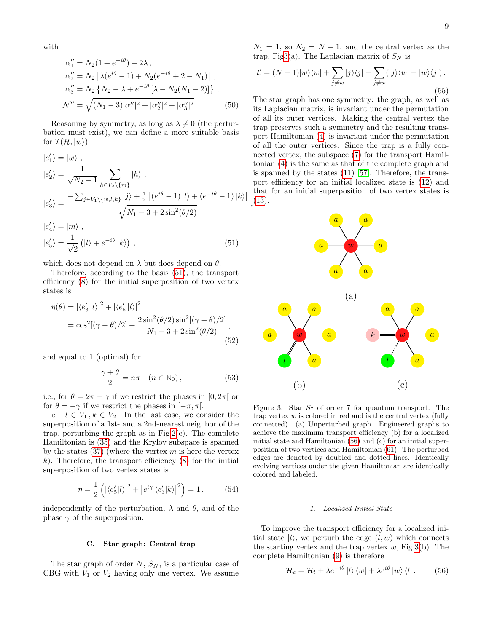$$
\alpha_1'' = N_2(1 + e^{-i\theta}) - 2\lambda ,
$$
  
\n
$$
\alpha_2'' = N_2 \left[ \lambda (e^{i\theta} - 1) + N_2 (e^{-i\theta} + 2 - N_1) \right] ,
$$
  
\n
$$
\alpha_3'' = N_2 \left\{ N_2 - \lambda + e^{-i\theta} \left[ \lambda - N_2 (N_1 - 2) \right] \right\} ,
$$
  
\n
$$
\mathcal{N}'' = \sqrt{(N_1 - 3) |\alpha_1''|^2 + |\alpha_2''|^2 + |\alpha_3''|^2} .
$$
 (50)

Reasoning by symmetry, as long as  $\lambda \neq 0$  (the perturbation must exist), we can define a more suitable basis for  $\mathcal{I}(\mathcal{H}, |w\rangle)$ 

$$
|e'_{1}\rangle = |w\rangle ,
$$
  
\n
$$
|e'_{2}\rangle = \frac{1}{\sqrt{N_{2} - 1}} \sum_{h \in V_{2} \setminus \{m\}} |h\rangle ,
$$
  
\n
$$
|e'_{3}\rangle = \frac{-\sum_{j \in V_{1} \setminus \{w, l, k\}} |j\rangle + \frac{1}{2} \left[ (e^{i\theta} - 1) |l\rangle + (e^{-i\theta} - 1) |k\rangle \right]}{\sqrt{N_{1} - 3 + 2\sin^{2}(\theta/2)}}
$$
  
\n
$$
|e'_{4}\rangle = |m\rangle ,
$$
  
\n
$$
|e'_{5}\rangle = \frac{1}{\sqrt{2}} (|l\rangle + e^{-i\theta} |k\rangle) ,
$$
 (51)

which does not depend on  $\lambda$  but does depend on  $\theta$ .

Therefore, according to the basis [\(51\)](#page-8-0), the transport efficiency [\(8\)](#page-2-1) for the initial superposition of two vertex states is

$$
\eta(\theta) = |\langle e_3' | l \rangle|^2 + |\langle e_5' | l \rangle|^2
$$
  
=  $\cos^2[(\gamma + \theta)/2] + \frac{2\sin^2(\theta/2)\sin^2[(\gamma + \theta)/2]}{N_1 - 3 + 2\sin^2(\theta/2)},$  (52)

and equal to 1 (optimal) for

$$
\frac{\gamma + \theta}{2} = n\pi \quad (n \in \mathbb{N}_0), \tag{53}
$$

i.e., for  $\theta = 2\pi - \gamma$  if we restrict the phases in [0, 2 $\pi$ ] or for  $\theta = -\gamma$  if we restrict the phases in  $[-\pi, \pi]$ .

c.  $l \in V_1, k \in V_2$  In the last case, we consider the superposition of a 1st- and a 2nd-nearest neighbor of the trap, perturbing the graph as in Fig.2 $(c)$ . The complete Hamiltonian is [\(35\)](#page-6-1) and the Krylov subspace is spanned by the states  $(37)$  (where the vertex m is here the vertex  $k$ ). Therefore, the transport efficiency  $(8)$  for the initial superposition of two vertex states is

$$
\eta = \frac{1}{2} \left( |\langle e_5' | l \rangle|^2 + |e^{i\gamma} \langle e_3' | k \rangle|^2 \right) = 1, \quad (54)
$$

independently of the perturbation,  $\lambda$  and  $\theta$ , and of the phase  $\gamma$  of the superposition.

## C. Star graph: Central trap

The star graph of order  $N$ ,  $S_N$ , is a particular case of CBG with  $V_1$  or  $V_2$  having only one vertex. We assume  $N_1 = 1$ , so  $N_2 = N - 1$ , and the central vertex as the trap, Fi[g3\(](#page-8-1)a). The Laplacian matrix of  $S_N$  is

<span id="page-8-3"></span>
$$
\mathcal{L} = (N-1)|w\rangle\langle w| + \sum_{j \neq w} |j\rangle\langle j| - \sum_{j \neq w} (|j\rangle\langle w| + |w\rangle\langle j|).
$$
\n(55)

, [\(13\)](#page-3-5). The star graph has one symmetry: the graph, as well as its Laplacian matrix, is invariant under the permutation of all its outer vertices. Making the central vertex the trap preserves such a symmetry and the resulting transport Hamiltonian [\(4\)](#page-1-2) is invariant under the permutation of all the outer vertices. Since the trap is a fully connected vertex, the subspace [\(7\)](#page-2-3) for the transport Hamiltonian [\(4\)](#page-1-2) is the same as that of the complete graph and is spanned by the states [\(11\)](#page-3-3) [\[57\]](#page-17-15). Therefore, the transport efficiency for an initial localized state is [\(12\)](#page-3-4) and that for an initial superposition of two vertex states is

<span id="page-8-0"></span>

<span id="page-8-1"></span>Figure 3. Star  $S_7$  of order 7 for quantum transport. The trap vertex  $w$  is colored in red and is the central vertex (fully connected). (a) Unperturbed graph. Engineered graphs to achieve the maximum transport efficiency (b) for a localized initial state and Hamiltonian [\(56\)](#page-8-2) and (c) for an initial superposition of two vertices and Hamiltonian [\(61\)](#page-9-0). The perturbed edges are denoted by doubled and dotted lines. Identically evolving vertices under the given Hamiltonian are identically colored and labeled.

## <span id="page-8-2"></span>1. Localized Initial State

To improve the transport efficiency for a localized initial state  $|l\rangle$ , we perturb the edge  $(l, w)$  which connects the starting vertex and the trap vertex  $w$ , Fig[.3\(](#page-8-1)b). The complete Hamiltonian [\(9\)](#page-2-2) is therefore

$$
\mathcal{H}_c = \mathcal{H}_t + \lambda e^{-i\theta} |l\rangle \langle w| + \lambda e^{i\theta} |w\rangle \langle l|. \qquad (56)
$$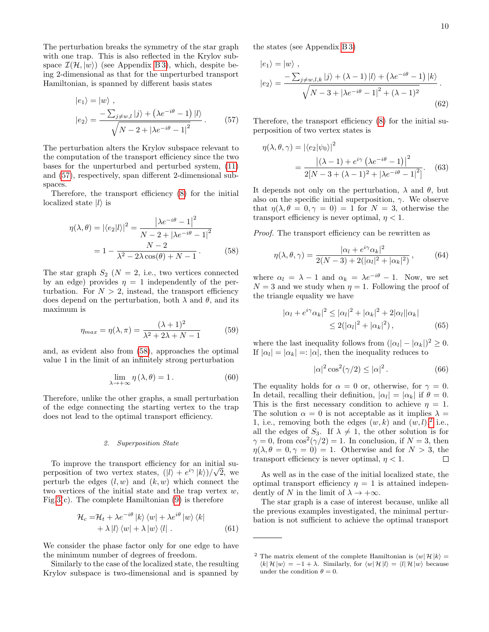The perturbation breaks the symmetry of the star graph with one trap. This is also reflected in the Krylov subspace  $\mathcal{I}(\mathcal{H}, |w\rangle)$  (see Appendix [B 3\)](#page-15-0), which, despite being 2-dimensional as that for the unperturbed transport Hamiltonian, is spanned by different basis states

$$
|e_1\rangle = |w\rangle ,
$$
  

$$
|e_2\rangle = \frac{-\sum_{j \neq w,l} |j\rangle + (\lambda e^{-i\theta} - 1) |l\rangle}{\sqrt{N - 2 + |\lambda e^{-i\theta} - 1|^2}}.
$$
 (57)

The perturbation alters the Krylov subspace relevant to the computation of the transport efficiency since the two bases for the unperturbed and perturbed system, [\(11\)](#page-3-3) and [\(57\)](#page-9-1), respectively, span different 2-dimensional subspaces.

Therefore, the transport efficiency [\(8\)](#page-2-1) for the initial localized state  $|l\rangle$  is

$$
\eta(\lambda, \theta) = |\langle e_2 | l \rangle|^2 = \frac{|\lambda e^{-i\theta} - 1|^2}{N - 2 + |\lambda e^{-i\theta} - 1|^2} \n= 1 - \frac{N - 2}{\lambda^2 - 2\lambda \cos(\theta) + N - 1}.
$$
\n(58)

The star graph  $S_2$  ( $N = 2$ , i.e., two vertices connected by an edge) provides  $\eta = 1$  independently of the perturbation. For  $N > 2$ , instead, the transport efficiency does depend on the perturbation, both  $\lambda$  and  $\theta$ , and its maximum is

$$
\eta_{max} = \eta(\lambda, \pi) = \frac{(\lambda + 1)^2}{\lambda^2 + 2\lambda + N - 1} \tag{59}
$$

and, as evident also from [\(58\)](#page-9-2), approaches the optimal value 1 in the limit of an infinitely strong perturbation

$$
\lim_{\lambda \to +\infty} \eta(\lambda, \theta) = 1. \tag{60}
$$

Therefore, unlike the other graphs, a small perturbation of the edge connecting the starting vertex to the trap does not lead to the optimal transport efficiency.

## <span id="page-9-4"></span>2. Superposition State

To improve the transport efficiency for an initial superposition of two vertex states,  $(|l\rangle + e^{i\gamma} |k\rangle)/\sqrt{2}$ , we perturb the edges  $(l, w)$  and  $(k, w)$  which connect the two vertices of the initial state and the trap vertex  $w$ , Fig[.3\(](#page-8-1)c). The complete Hamiltonian  $(9)$  is therefore

$$
\mathcal{H}_c = \mathcal{H}_t + \lambda e^{-i\theta} |k\rangle \langle w| + \lambda e^{i\theta} |w\rangle \langle k| + \lambda |l\rangle \langle w| + \lambda |w\rangle \langle l|.
$$
 (61)

We consider the phase factor only for one edge to have the minimum number of degrees of freedom.

Similarly to the case of the localized state, the resulting Krylov subspace is two-dimensional and is spanned by the states (see Appendix [B 3\)](#page-15-0)

$$
|e_1\rangle = |w\rangle ,
$$
  
\n
$$
|e_2\rangle = \frac{-\sum_{j \neq w, l, k} |j\rangle + (\lambda - 1)|l\rangle + (\lambda e^{-i\theta} - 1)|k\rangle}{\sqrt{N - 3 + |\lambda e^{-i\theta} - 1|^2 + (\lambda - 1)^2}}.
$$
  
\n(62)

<span id="page-9-1"></span>Therefore, the transport efficiency [\(8\)](#page-2-1) for the initial superposition of two vertex states is

<span id="page-9-5"></span>
$$
\eta(\lambda, \theta, \gamma) = |\langle e_2 | \psi_0 \rangle|^2
$$
  
= 
$$
\frac{|(\lambda - 1) + e^{i\gamma} (\lambda e^{-i\theta} - 1)|^2}{2[N - 3 + (\lambda - 1)^2 + |\lambda e^{-i\theta} - 1|^2]}.
$$
 (63)

It depends not only on the perturbation,  $\lambda$  and  $\theta$ , but also on the specific initial superposition,  $\gamma$ . We observe that  $\eta(\lambda, \theta = 0, \gamma = 0) = 1$  for  $N = 3$ , otherwise the transport efficiency is never optimal,  $\eta < 1$ .

<span id="page-9-2"></span>Proof. The transport efficiency can be rewritten as

$$
\eta(\lambda,\theta,\gamma) = \frac{|\alpha_l + e^{i\gamma}\alpha_k|^2}{2(N-3) + 2(|\alpha_l|^2 + |\alpha_k|^2)},\tag{64}
$$

where  $\alpha_l = \lambda - 1$  and  $\alpha_k = \lambda e^{-i\theta} - 1$ . Now, we set  $N = 3$  and we study when  $\eta = 1$ . Following the proof of the triangle equality we have

$$
|\alpha_l + e^{i\gamma} \alpha_k|^2 \le |\alpha_l|^2 + |\alpha_k|^2 + 2|\alpha_l||\alpha_k|
$$
  
\n
$$
\le 2(|\alpha_l|^2 + |\alpha_k|^2), \tag{65}
$$

where the last inequality follows from  $(|\alpha_l| - |\alpha_k|)^2 \geq 0$ . If  $|\alpha_l| = |\alpha_k| = |\alpha|$ , then the inequality reduces to

$$
|\alpha|^2 \cos^2(\gamma/2) \le |\alpha|^2. \tag{66}
$$

The equality holds for  $\alpha = 0$  or, otherwise, for  $\gamma = 0$ . In detail, recalling their definition,  $|\alpha_l| = |\alpha_k|$  if  $\theta = 0$ . This is the first necessary condition to achieve  $\eta = 1$ . The solution  $\alpha = 0$  is not acceptable as it implies  $\lambda =$ 1, i.e., removing both the edges  $(w, k)$  and  $(w, l)$ ,<sup>[2](#page-9-3)</sup> i.e., all the edges of  $S_3$ . If  $\lambda \neq 1$ , the other solution is for  $\gamma = 0$ , from  $\cos^2(\gamma/2) = 1$ . In conclusion, if  $N = 3$ , then  $\eta(\lambda, \theta = 0, \gamma = 0) = 1$ . Otherwise and for  $N > 3$ , the transport efficiency is never optimal,  $n < 1$ .  $\Box$ 

As well as in the case of the initial localized state, the optimal transport efficiency  $\eta = 1$  is attained independently of N in the limit of  $\lambda \to +\infty$ .

<span id="page-9-0"></span>The star graph is a case of interest because, unlike all the previous examples investigated, the minimal perturbation is not sufficient to achieve the optimal transport

<span id="page-9-3"></span><sup>&</sup>lt;sup>2</sup> The matrix element of the complete Hamiltonian is  $\langle w | H | k \rangle =$  $\langle k | \mathcal{H} | w \rangle = -1 + \lambda$ . Similarly, for  $\langle w | \mathcal{H} | l \rangle = \langle l | \mathcal{H} | w \rangle$  because under the condition  $\theta = 0$ .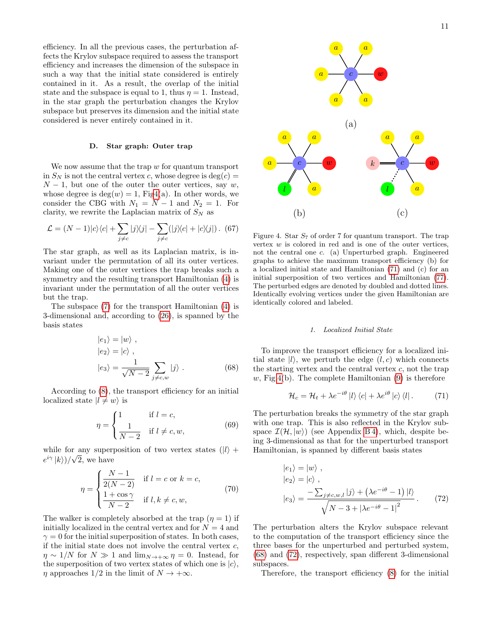efficiency. In all the previous cases, the perturbation affects the Krylov subspace required to assess the transport efficiency and increases the dimension of the subspace in such a way that the initial state considered is entirely contained in it. As a result, the overlap of the initial state and the subspace is equal to 1, thus  $\eta = 1$ . Instead, in the star graph the perturbation changes the Krylov subspace but preserves its dimension and the initial state considered is never entirely contained in it.

## D. Star graph: Outer trap

We now assume that the trap  $w$  for quantum transport in  $S_N$  is not the central vertex c, whose degree is deg(c) =  $N-1$ , but one of the outer the outer vertices, say w, whose degree is  $deg(w) = 1$ , Fi[g4\(](#page-10-0)a). In other words, we consider the CBG with  $N_1 = N - 1$  and  $N_2 = 1$ . For clarity, we rewrite the Laplacian matrix of  $S_N$  as

$$
\mathcal{L} = (N-1)|c\rangle\langle c| + \sum_{j \neq c} |j\rangle\langle j| - \sum_{j \neq c} (|j\rangle\langle c| + |c\rangle\langle j|) .
$$
 (67)

The star graph, as well as its Laplacian matrix, is invariant under the permutation of all its outer vertices. Making one of the outer vertices the trap breaks such a symmetry and the resulting transport Hamiltonian [\(4\)](#page-1-2) is invariant under the permutation of all the outer vertices but the trap.

The subspace [\(7\)](#page-2-3) for the transport Hamiltonian [\(4\)](#page-1-2) is 3-dimensional and, according to [\(26\)](#page-5-4), is spanned by the basis states

$$
|e_1\rangle = |w\rangle ,\n|e_2\rangle = |c\rangle ,\n|e_3\rangle = \frac{1}{\sqrt{N-2}} \sum_{j \neq c,w} |j\rangle .
$$
\n(68)

According to [\(8\)](#page-2-1), the transport efficiency for an initial localized state  $|l \neq w\rangle$  is

$$
\eta = \begin{cases} 1 & \text{if } l = c, \\ \frac{1}{N-2} & \text{if } l \neq c, w, \end{cases}
$$
(69)

while for any superposition of two vertex states  $(|l\rangle +$  $e^{i\gamma} |k\rangle$ )/ $\sqrt{2}$ , we have

$$
\eta = \begin{cases} \frac{N-1}{2(N-2)} & \text{if } l = c \text{ or } k = c, \\ \frac{1+\cos\gamma}{N-2} & \text{if } l, k \neq c, w, \end{cases}
$$
(70)

The walker is completely absorbed at the trap  $(\eta = 1)$  if initially localized in the central vertex and for  $N = 4$  and  $\gamma = 0$  for the initial superposition of states. In both cases, if the initial state does not involve the central vertex  $c$ ,  $\eta \sim 1/N$  for  $N \gg 1$  and  $\lim_{N \to +\infty} \eta = 0$ . Instead, for the superposition of two vertex states of which one is  $|c\rangle$ ,  $\eta$  approaches 1/2 in the limit of  $N \to +\infty$ .



<span id="page-10-0"></span>Figure 4. Star  $S_7$  of order 7 for quantum transport. The trap vertex  $w$  is colored in red and is one of the outer vertices, not the central one c. (a) Unperturbed graph. Engineered graphs to achieve the maximum transport efficiency (b) for a localized initial state and Hamiltonian [\(71\)](#page-10-1) and (c) for an initial superposition of two vertices and Hamiltonian [\(77\)](#page-11-1). The perturbed edges are denoted by doubled and dotted lines. Identically evolving vertices under the given Hamiltonian are identically colored and labeled.

#### <span id="page-10-1"></span>1. Localized Initial State

<span id="page-10-2"></span>To improve the transport efficiency for a localized initial state  $|l\rangle$ , we perturb the edge  $(l, c)$  which connects the starting vertex and the central vertex  $c$ , not the trap  $w$ , Fig[.4\(](#page-10-0)b). The complete Hamiltonian  $(9)$  is therefore

$$
\mathcal{H}_c = \mathcal{H}_t + \lambda e^{-i\theta} |l\rangle \langle c| + \lambda e^{i\theta} |c\rangle \langle l|.
$$
 (71)

The perturbation breaks the symmetry of the star graph with one trap. This is also reflected in the Krylov subspace  $\mathcal{I}(\mathcal{H}, |w\rangle)$  (see Appendix B4), which, despite being 3-dimensional as that for the unperturbed transport Hamiltonian, is spanned by different basis states

<span id="page-10-3"></span>
$$
\begin{aligned} |e_1\rangle &= |w\rangle \;, \\ |e_2\rangle &= |c\rangle \;, \\ |e_3\rangle &= \frac{-\sum_{j \neq c, w, l} |j\rangle + \left(\lambda e^{-i\theta} - 1\right) |l\rangle}{\sqrt{N - 3 + |\lambda e^{-i\theta} - 1|^2}} \,. \end{aligned} \tag{72}
$$

The perturbation alters the Krylov subspace relevant to the computation of the transport efficiency since the three bases for the unperturbed and perturbed system, [\(68\)](#page-10-2) and [\(72\)](#page-10-3), respectively, span different 3-dimensional subspaces.

Therefore, the transport efficiency [\(8\)](#page-2-1) for the initial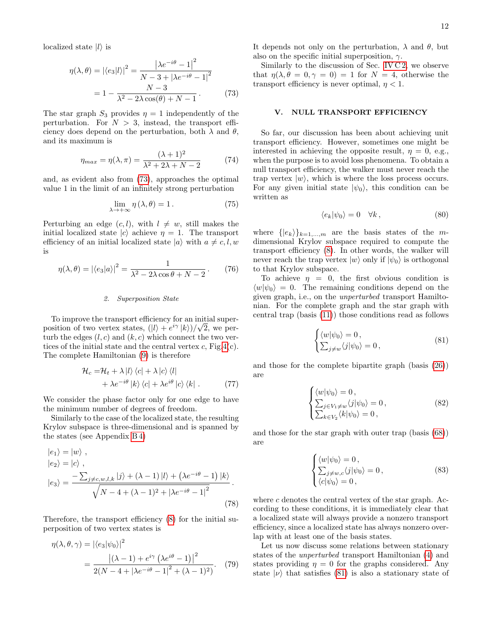localized state  $|l\rangle$  is

$$
\eta(\lambda, \theta) = |\langle e_3 | l \rangle|^2 = \frac{|\lambda e^{-i\theta} - 1|^2}{N - 3 + |\lambda e^{-i\theta} - 1|^2}
$$

$$
= 1 - \frac{N - 3}{\lambda^2 - 2\lambda \cos(\theta) + N - 1}.
$$
(73)

The star graph  $S_3$  provides  $\eta = 1$  independently of the perturbation. For  $N > 3$ , instead, the transport efficiency does depend on the perturbation, both  $\lambda$  and  $\theta$ , and its maximum is

$$
\eta_{max} = \eta(\lambda, \pi) = \frac{(\lambda + 1)^2}{\lambda^2 + 2\lambda + N - 2} \tag{74}
$$

and, as evident also from [\(73\)](#page-11-2), approaches the optimal value 1 in the limit of an infinitely strong perturbation

$$
\lim_{\lambda \to +\infty} \eta(\lambda, \theta) = 1. \tag{75}
$$

Perturbing an edge  $(c, l)$ , with  $l \neq w$ , still makes the initial localized state  $|c\rangle$  achieve  $\eta = 1$ . The transport efficiency of an initial localized state  $|a\rangle$  with  $a \neq c, l, w$ is

$$
\eta(\lambda,\theta) = |\langle e_3|a\rangle|^2 = \frac{1}{\lambda^2 - 2\lambda\cos\theta + N - 2}.
$$
 (76)

#### 2. Superposition State

To improve the transport efficiency for an initial superposition of two vertex states,  $(|l\rangle + e^{i\gamma} |k\rangle)/\sqrt{2}$ , we perturb the edges  $(l, c)$  and  $(k, c)$  which connect the two vertices of the initial state and the central vertex  $c$ , Fig[.4\(](#page-10-0)c). The complete Hamiltonian [\(9\)](#page-2-2) is therefore

$$
\mathcal{H}_c = \mathcal{H}_t + \lambda |l\rangle \langle c| + \lambda |c\rangle \langle l|
$$
  
+  $\lambda e^{-i\theta} |k\rangle \langle c| + \lambda e^{i\theta} |c\rangle \langle k|$ . (77)

We consider the phase factor only for one edge to have the minimum number of degrees of freedom.

Similarly to the case of the localized state, the resulting Krylov subspace is three-dimensional and is spanned by the states (see Appendix [B 4\)](#page-15-1)

$$
|e_1\rangle = |w\rangle ,|e_2\rangle = |c\rangle ,|e_3\rangle = \frac{-\sum_{j \neq c, w, l, k} |j\rangle + (\lambda - 1)|l\rangle + (\lambda e^{-i\theta} - 1)|k\rangle}{\sqrt{N - 4 + (\lambda - 1)^2 + |\lambda e^{-i\theta} - 1|^2}}.
$$
\n(78)

Therefore, the transport efficiency [\(8\)](#page-2-1) for the initial superposition of two vertex states is

$$
\eta(\lambda, \theta, \gamma) = |\langle e_3 | \psi_0 \rangle|^2
$$
  
= 
$$
\frac{|\langle \lambda - 1 \rangle + e^{i\gamma} (\lambda e^{i\theta} - 1)|^2}{2(N - 4 + |\lambda e^{-i\theta} - 1|^2 + (\lambda - 1)^2)}.
$$
 (79)

It depends not only on the perturbation,  $\lambda$  and  $\theta$ , but also on the specific initial superposition,  $\gamma$ .

<span id="page-11-2"></span>Similarly to the discussion of Sec. [IV C 2,](#page-9-4) we observe that  $\eta(\lambda, \theta = 0, \gamma = 0) = 1$  for  $N = 4$ , otherwise the transport efficiency is never optimal,  $\eta < 1$ .

## <span id="page-11-0"></span>V. NULL TRANSPORT EFFICIENCY

So far, our discussion has been about achieving unit transport efficiency. However, sometimes one might be interested in achieving the opposite result,  $\eta = 0$ , e.g., when the purpose is to avoid loss phenomena. To obtain a null transport efficiency, the walker must never reach the trap vertex  $|w\rangle$ , which is where the loss process occurs. For any given initial state  $|\psi_0\rangle$ , this condition can be written as

$$
\langle e_k | \psi_0 \rangle = 0 \quad \forall k \,, \tag{80}
$$

where  $\{|e_k\rangle\}_{k=1,\dots,m}$  are the basis states of the mdimensional Krylov subspace required to compute the transport efficiency [\(8\)](#page-2-1). In other words, the walker will never reach the trap vertex  $|w\rangle$  only if  $|\psi_0\rangle$  is orthogonal to that Krylov subspace.

To achieve  $\eta = 0$ , the first obvious condition is  $\langle w|\psi_0\rangle = 0$ . The remaining conditions depend on the given graph, i.e., on the unperturbed transport Hamiltonian. For the complete graph and the star graph with central trap (basis [\(11\)](#page-3-3)) those conditions read as follows

<span id="page-11-3"></span>
$$
\begin{cases} \langle w|\psi_0\rangle = 0, \\ \sum_{j\neq w} \langle j|\psi_0\rangle = 0, \end{cases}
$$
 (81)

<span id="page-11-1"></span>and those for the complete bipartite graph (basis [\(26\)](#page-5-4)) are

<span id="page-11-4"></span>
$$
\begin{cases} \langle w|\psi_0\rangle = 0, \\ \sum_{j\in V_1\neq w} \langle j|\psi_0\rangle = 0, \\ \sum_{k\in V_2} \langle k|\psi_0\rangle = 0, \end{cases}
$$
 (82)

and those for the star graph with outer trap (basis [\(68\)](#page-10-2)) are

$$
\begin{cases} \langle w|\psi_0\rangle = 0, \\ \sum_{j\neq w,c} \langle j|\psi_0\rangle = 0, \\ \langle c|\psi_0\rangle = 0, \end{cases}
$$
 (83)

<span id="page-11-5"></span>where  $c$  denotes the central vertex of the star graph. According to these conditions, it is immediately clear that a localized state will always provide a nonzero transport efficiency, since a localized state has always nonzero overlap with at least one of the basis states.

Let us now discuss some relations between stationary states of the unperturbed transport Hamiltonian [\(4\)](#page-1-2) and states providing  $\eta = 0$  for the graphs considered. Any state  $|\nu\rangle$  that satisfies [\(81\)](#page-11-3) is also a stationary state of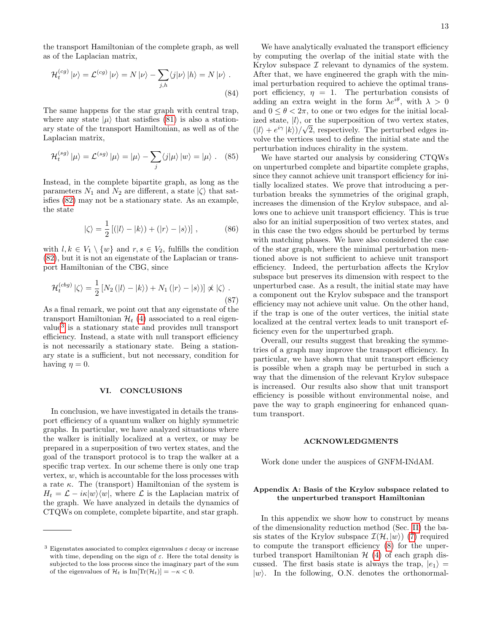the transport Hamiltonian of the complete graph, as well as of the Laplacian matrix,

$$
\mathcal{H}_t^{(cg)} |\nu\rangle = \mathcal{L}^{(cg)} |\nu\rangle = N |\nu\rangle - \sum_{j,h} \langle j|\nu\rangle |h\rangle = N |\nu\rangle.
$$
\n(84)

The same happens for the star graph with central trap, where any state  $|\mu\rangle$  that satisfies [\(81\)](#page-11-3) is also a stationary state of the transport Hamiltonian, as well as of the Laplacian matrix,

$$
\mathcal{H}_t^{(sg)} | \mu \rangle = \mathcal{L}^{(sg)} | \mu \rangle = | \mu \rangle - \sum_j \langle j | \mu \rangle | w \rangle = | \mu \rangle. \quad (85)
$$

Instead, in the complete bipartite graph, as long as the parameters  $N_1$  and  $N_2$  are different, a state  $|\zeta\rangle$  that satisfies [\(82\)](#page-11-4) may not be a stationary state. As an example, the state

$$
|\zeta\rangle = \frac{1}{2} \left[ (|l\rangle - |k\rangle) + (|r\rangle - |s\rangle) \right],
$$
 (86)

with  $l, k \in V_1 \setminus \{w\}$  and  $r, s \in V_2$ , fulfills the condition [\(82\)](#page-11-4), but it is not an eigenstate of the Laplacian or transport Hamiltonian of the CBG, since

$$
\mathcal{H}_t^{(cbg)}\left|\zeta\right\rangle = \frac{1}{2}\left[N_2\left(|l\rangle - |k\rangle\right) + N_1\left(|r\rangle - |s\rangle\right)\right] \not\propto \left|\zeta\right\rangle. \tag{87}
$$

As a final remark, we point out that any eigenstate of the transport Hamiltonian  $\mathcal{H}_t$  [\(4\)](#page-1-2) associated to a real eigenvalue[3](#page-12-1) is a stationary state and provides null transport efficiency. Instead, a state with null transport efficiency is not necessarily a stationary state. Being a stationary state is a sufficient, but not necessary, condition for having  $\eta = 0$ .

## <span id="page-12-0"></span>VI. CONCLUSIONS

In conclusion, we have investigated in details the transport efficiency of a quantum walker on highly symmetric graphs. In particular, we have analyzed situations where the walker is initially localized at a vertex, or may be prepared in a superposition of two vertex states, and the goal of the transport protocol is to trap the walker at a specific trap vertex. In our scheme there is only one trap vertex,  $w$ , which is accountable for the loss processes with a rate  $\kappa$ . The (transport) Hamiltonian of the system is  $H_t = \mathcal{L} - i\kappa|w\rangle\langle w|$ , where  $\mathcal L$  is the Laplacian matrix of the graph. We have analyzed in details the dynamics of CTQWs on complete, complete bipartite, and star graph.

We have analytically evaluated the transport efficiency by computing the overlap of the initial state with the Krylov subspace  $\mathcal I$  relevant to dynamics of the system. After that, we have engineered the graph with the minimal perturbation required to achieve the optimal transport efficiency,  $\eta = 1$ . The perturbation consists of adding an extra weight in the form  $\lambda e^{i\theta}$ , with  $\lambda > 0$ and  $0 \le \theta < 2\pi$ , to one or two edges for the initial localized state,  $|l\rangle$ , or the superposition of two vertex states,  $(|l\rangle + e^{i\gamma} |k\rangle)/\sqrt{2}$ , respectively. The perturbed edges involve the vertices used to define the initial state and the perturbation induces chirality in the system.

We have started our analysis by considering CTQWs on unperturbed complete and bipartite complete graphs, since they cannot achieve unit transport efficiency for initially localized states. We prove that introducing a perturbation breaks the symmetries of the original graph, increases the dimension of the Krylov subspace, and allows one to achieve unit transport efficiency. This is true also for an initial superposition of two vertex states, and in this case the two edges should be perturbed by terms with matching phases. We have also considered the case of the star graph, where the minimal perturbation mentioned above is not sufficient to achieve unit transport efficiency. Indeed, the perturbation affects the Krylov subspace but preserves its dimension with respect to the unperturbed case. As a result, the initial state may have a component out the Krylov subspace and the transport efficiency may not achieve unit value. On the other hand, if the trap is one of the outer vertices, the initial state localized at the central vertex leads to unit transport efficiency even for the unperturbed graph.

Overall, our results suggest that breaking the symmetries of a graph may improve the transport efficiency. In particular, we have shown that unit transport efficiency is possible when a graph may be perturbed in such a way that the dimension of the relevant Krylov subspace is increased. Our results also show that unit transport efficiency is possible without environmental noise, and pave the way to graph engineering for enhanced quantum transport.

#### ACKNOWLEDGMENTS

Work done under the auspices of GNFM-INdAM.

# Appendix A: Basis of the Krylov subspace related to the unperturbed transport Hamiltonian

In this appendix we show how to construct by means of the dimensionality reduction method (Sec. [II\)](#page-1-0) the basis states of the Krylov subspace  $\mathcal{I}(\mathcal{H}, |w\rangle)$  [\(7\)](#page-2-3) required to compute the transport efficiency [\(8\)](#page-2-1) for the unperturbed transport Hamiltonian  $H(4)$  $H(4)$  of each graph discussed. The first basis state is always the trap,  $|e_1\rangle =$  $|w\rangle$ . In the following, O.N. denotes the orthonormal-

<span id="page-12-1"></span><sup>&</sup>lt;sup>3</sup> Eigenstates associated to complex eigenvalues  $\varepsilon$  decay or increase with time, depending on the sign of  $\varepsilon$ . Here the total density is subjected to the loss process since the imaginary part of the sum of the eigenvalues of  $\mathcal{H}_t$  is Im[Tr( $\mathcal{H}_t$ )] =  $-\kappa < 0$ .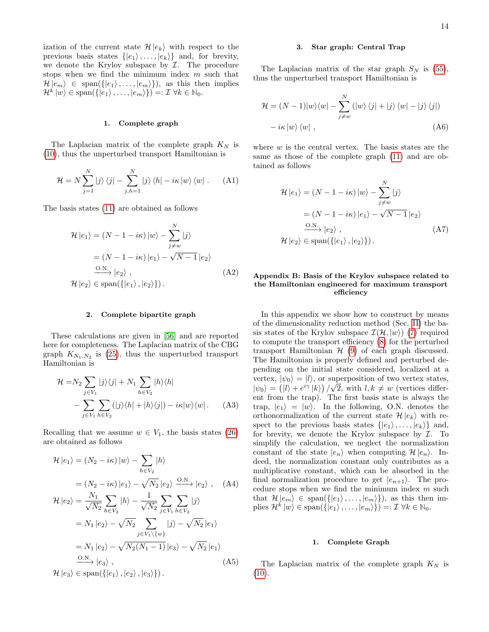ization of the current state  $\mathcal{H} |e_k\rangle$  with respect to the previous basis states  $\{|e_1\rangle, \ldots, |e_k\rangle\}$  and, for brevity, we denote the Krylov subspace by  $I$ . The procedure stops when we find the minimum index  $m$  such that  $\mathcal{H}|e_m\rangle \in \text{span}(\{|e_1\rangle, \ldots, |e_m\rangle\}),\$ as this then implies  $\mathcal{H}^k |w\rangle \in \text{span}(\{|e_1\rangle, \ldots, |e_m\rangle\}) =: \mathcal{I} \ \forall k \in \mathbb{N}_0.$ 

## <span id="page-13-0"></span>1. Complete graph

The Laplacian matrix of the complete graph  $K_N$  is [\(10\)](#page-3-6), thus the unperturbed transport Hamiltonian is

$$
\mathcal{H} = N \sum_{j=1}^{N} |j\rangle\langle j| - \sum_{j,h=1}^{N} |j\rangle\langle h| - i\kappa|w\rangle\langle w| \ . \tag{A1}
$$

The basis states [\(11\)](#page-3-3) are obtained as follows

$$
\mathcal{H}|e_1\rangle = (N - 1 - i\kappa)|w\rangle - \sum_{j \neq w}^{N} |j\rangle
$$

$$
= (N - 1 - i\kappa)|e_1\rangle - \sqrt{N - 1}|e_2\rangle
$$

$$
\xrightarrow{\text{O.N.}} |e_2\rangle ,
$$

$$
\mathcal{H}|e_2\rangle \in \text{span}\{ |e_1\rangle, |e_2\rangle \}.
$$
 (A2)

#### <span id="page-13-2"></span>2. Complete bipartite graph

These calculations are given in [\[56\]](#page-17-14) and are reported here for completeness. The Laplacian matrix of the CBG graph  $K_{N_1,N_2}$  is [\(25\)](#page-5-5), thus the unperturbed transport Hamiltonian is

$$
\mathcal{H} = N_2 \sum_{j \in V_1} |j\rangle\langle j| + N_1 \sum_{h \in V_2} |h\rangle\langle h|
$$

$$
- \sum_{j \in V_1} \sum_{h \in V_2} (|j\rangle\langle h| + |h\rangle\langle j|) - i\kappa|w\rangle\langle w|. \qquad (A3)
$$

Recalling that we assume  $w \in V_1$ , the basis states [\(26\)](#page-5-4) are obtained as follows

$$
\mathcal{H}|e_1\rangle = (N_2 - i\kappa)|w\rangle - \sum_{h \in V_2} |h\rangle
$$
  
\n
$$
= (N_2 - i\kappa)|e_1\rangle - \sqrt{N_2}|e_2\rangle \xrightarrow{\text{O.N.}} |e_2\rangle , \quad \text{(A4)}
$$
  
\n
$$
\mathcal{H}|e_2\rangle = \frac{N_1}{\sqrt{N_2}} \sum_{h \in V_2} |h\rangle - \frac{1}{\sqrt{N_2}} \sum_{j \in V_1} \sum_{h \in V_2} |j\rangle
$$
  
\n
$$
= N_1 |e_2\rangle - \sqrt{N_2} \sum_{j \in V_1 \setminus \{w\}} |j\rangle - \sqrt{N_2} |e_1\rangle
$$
  
\n
$$
= N_1 |e_2\rangle - \sqrt{N_2(N_1 - 1)} |e_3\rangle - \sqrt{N_2} |e_1\rangle
$$
  
\n
$$
\xrightarrow{\text{O.N.}} |e_3\rangle ,
$$
  
\n
$$
\mathcal{H}|e_3\rangle \in \text{span}(\{|e_1\rangle, |e_2\rangle, |e_3\rangle\}).
$$
  
\n(A5)

#### 3. Star graph: Central Trap

The Laplacian matrix of the star graph  $S_N$  is [\(55\)](#page-8-3), thus the unperturbed transport Hamiltonian is

$$
\mathcal{H} = (N-1)|w\rangle\langle w| - \sum_{j \neq w}^{N} (|w\rangle\langle j| + |j\rangle\langle w| - |j\rangle\langle j|)
$$

$$
- i\kappa |w\rangle\langle w| , \qquad (A6)
$$

where  $w$  is the central vertex. The basis states are the same as those of the complete graph [\(11\)](#page-3-3) and are obtained as follows

$$
\mathcal{H}|e_1\rangle = (N - 1 - i\kappa)|w\rangle - \sum_{j \neq w}^{N} |j\rangle
$$
  
=  $(N - 1 - i\kappa)|e_1\rangle - \sqrt{N - 1}|e_2\rangle$   
 $\xrightarrow{\text{O.N.}} |e_2\rangle$ ,  
 $\mathcal{H}|e_2\rangle \in \text{span}\{ |e_1\rangle, |e_2\rangle \}.$  (A7)

# Appendix B: Basis of the Krylov subspace related to the Hamiltonian engineered for maximum transport efficiency

In this appendix we show how to construct by means of the dimensionality reduction method (Sec. [II\)](#page-1-0) the basis states of the Krylov subspace  $\mathcal{I}(\mathcal{H}, |w\rangle)$  [\(7\)](#page-2-3) required to compute the transport efficiency [\(8\)](#page-2-1) for the perturbed transport Hamiltonian  $H(9)$  $H(9)$  of each graph discussed. The Hamiltonian is properly defined and perturbed depending on the initial state considered, localized at a vertex,  $|\psi_0\rangle = |l\rangle$ , or superposition of two vertex states,  $|\psi_0\rangle = (|\mathit{l}\rangle + e^{i\gamma} |\mathit{k}\rangle)/\sqrt{2}$ , with  $\mathit{l}, \mathit{k} \neq w$  (vertices different from the trap). The first basis state is always the trap,  $|e_1\rangle = |w\rangle$ . In the following, O.N. denotes the orthonormalization of the current state  $\mathcal{H} |e_k\rangle$  with respect to the previous basis states  $\{|e_1\rangle, \ldots, |e_k\rangle\}$  and, for brevity, we denote the Krylov subspace by  $\mathcal{I}$ . To simplify the calculation, we neglect the normalization constant of the state  $|e_n\rangle$  when computing  $\mathcal{H}|e_n\rangle$ . Indeed, the normalization constant only contributes as a multiplicative constant, which can be absorbed in the final normalization procedure to get  $|e_{n+1}\rangle$ . The procedure stops when we find the minimum index  $m$  such that  $\mathcal{H}|e_m\rangle \in \text{span}(\{|e_1\rangle,\ldots,|e_m\rangle\}),\$ as this then implies  $\mathcal{H}^k |w\rangle \in \text{span}(\{ |e_1\rangle, \ldots, |e_m\rangle\}) =: \mathcal{I} \ \forall k \in \mathbb{N}_0.$ 

#### <span id="page-13-1"></span>1. Complete Graph

The Laplacian matrix of the complete graph  $K_N$  is  $(10).$  $(10).$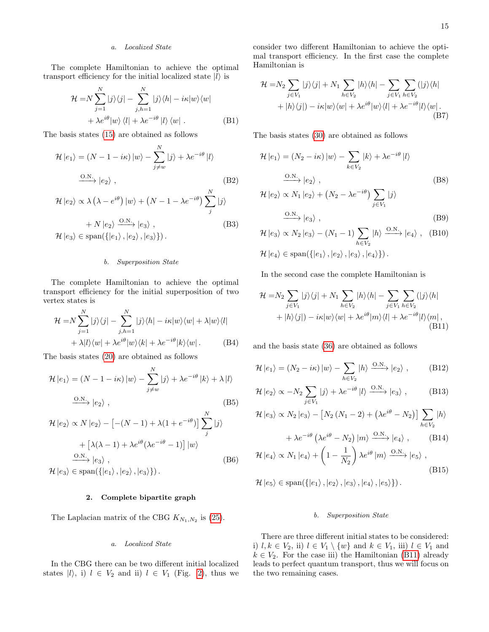# a. Localized State

The complete Hamiltonian to achieve the optimal transport efficiency for the initial localized state  $|l\rangle$  is

$$
\mathcal{H} = N \sum_{j=1}^{N} |j\rangle\langle j| - \sum_{j,h=1}^{N} |j\rangle\langle h| - i\kappa|w\rangle\langle w|
$$
  
+  $\lambda e^{i\theta}|w\rangle\langle l| + \lambda e^{-i\theta}|l\rangle\langle w|.$  (B1)

The basis states [\(15\)](#page-4-2) are obtained as follows

$$
\mathcal{H}|e_1\rangle = (N - 1 - i\kappa)|w\rangle - \sum_{j \neq w}^{N} |j\rangle + \lambda e^{-i\theta} |l\rangle
$$
  

$$
\xrightarrow{\text{O.N.}} |e_2\rangle ,
$$
 (B2)

$$
\mathcal{H}|e_2\rangle \propto \lambda \left(\lambda - e^{i\theta}\right)|w\rangle + \left(N - 1 - \lambda e^{-i\theta}\right) \sum_{j}^{N} |j\rangle
$$
  
+  $N|e_2\rangle \xrightarrow{\text{O.N.}} |e_3\rangle$ , (B3)  
 $\mathcal{H}|e_3\rangle \in \text{span}\{ |e_1\rangle, |e_2\rangle, |e_3\rangle \}.$ 

# b. Superposition State

The complete Hamiltonian to achieve the optimal transport efficiency for the initial superposition of two vertex states is

$$
\mathcal{H} = N \sum_{j=1}^{N} |j\rangle\langle j| - \sum_{j,h=1}^{N} |j\rangle\langle h| - i\kappa|w\rangle\langle w| + \lambda|w\rangle\langle l|
$$

$$
+ \lambda|l\rangle\langle w| + \lambda e^{i\theta}|w\rangle\langle k| + \lambda e^{-i\theta}|k\rangle\langle w|.
$$
 (B4)

The basis states [\(20\)](#page-4-4) are obtained as follows

$$
\mathcal{H} |e_1\rangle = (N - 1 - i\kappa) |w\rangle - \sum_{j \neq w}^{N} |j\rangle + \lambda e^{-i\theta} |k\rangle + \lambda |l\rangle
$$
  

$$
\xrightarrow{\text{O.N.}} |e_2\rangle ,
$$
 (B5)

<sub>N</sub>r

$$
\mathcal{H}|e_2\rangle \propto N|e_2\rangle - [-(N-1) + \lambda(1 + e^{-i\theta})] \sum_{j}^{N} |j\rangle
$$
  
+ 
$$
[\lambda(\lambda - 1) + \lambda e^{i\theta}(\lambda e^{-i\theta} - 1)] |w\rangle
$$
  

$$
\xrightarrow{\text{O.N.}} |e_3\rangle ,
$$
  

$$
\mathcal{H}|e_3\rangle \in \text{span}(\{|e_1\rangle, |e_2\rangle, |e_3\rangle\}).
$$
 (B6)

## <span id="page-14-0"></span>2. Complete bipartite graph

The Laplacian matrix of the CBG  $K_{N_1,N_2}$  is [\(25\)](#page-5-5).

# a. Localized State

In the CBG there can be two different initial localized states  $|l\rangle$ , i)  $l \in V_2$  and ii)  $l \in V_1$  (Fig. [2\)](#page-5-0), thus we consider two different Hamiltonian to achieve the optimal transport efficiency. In the first case the complete Hamiltonian is

$$
\mathcal{H} = N_2 \sum_{j \in V_1} |j\rangle\langle j| + N_1 \sum_{h \in V_2} |h\rangle\langle h| - \sum_{j \in V_1} \sum_{h \in V_2} (|j\rangle\langle h| + |h\rangle\langle j|) - i\kappa|w\rangle\langle w| + \lambda e^{i\theta}|w\rangle\langle l| + \lambda e^{-i\theta}|l\rangle\langle w|.
$$
\n(B7)

The basis states [\(30\)](#page-6-3) are obtained as follows

$$
\mathcal{H}|e_1\rangle = (N_2 - i\kappa)|w\rangle - \sum_{k \in V_2} |k\rangle + \lambda e^{-i\theta} |l\rangle
$$
  

$$
\xrightarrow{\text{O.N.}} |e_2\rangle ,
$$
  

$$
\mathcal{H}|e_2\rangle \propto N_1 |e_2\rangle + (N_2 - \lambda e^{-i\theta}) \sum |j\rangle
$$
 (B8)

$$
H |e_2\rangle \propto N_1 |e_2\rangle + (N_2 - \lambda e^{-\omega}) \sum_{j \in V_1} |j\rangle
$$
  
\n
$$
\xrightarrow{\text{O.N.}} |e_3\rangle ,
$$
 (B9)

$$
\mathcal{H}|e_3\rangle \propto N_2|e_3\rangle - (N_1 - 1) \sum_{h \in V_2} |h\rangle \xrightarrow{0.N.} |e_4\rangle , \quad (B10)
$$
  

$$
\mathcal{H}|e_4\rangle \in \text{span}(\{|e_1\rangle, |e_2\rangle, |e_3\rangle, |e_4\rangle\}).
$$

In the second case the complete Hamiltonian is

<span id="page-14-1"></span>
$$
\mathcal{H} = N_2 \sum_{j \in V_1} |j\rangle\langle j| + N_1 \sum_{h \in V_2} |h\rangle\langle h| - \sum_{j \in V_1} \sum_{h \in V_2} (|j\rangle\langle h| + |h\rangle\langle j|) - i\kappa|w\rangle\langle w| + \lambda e^{i\theta}|m\rangle\langle l| + \lambda e^{-i\theta}|l\rangle\langle m|,
$$
\n(B11)

and the basis state [\(36\)](#page-6-4) are obtained as follows

$$
\mathcal{H}|e_1\rangle = (N_2 - i\kappa)|w\rangle - \sum_{h \in V_2} |h\rangle \xrightarrow{0.N.} |e_2\rangle , \qquad (B12)
$$

$$
\mathcal{H} |e_2\rangle \propto -N_2 \sum_{j \in V_1} |j\rangle + \lambda e^{-i\theta} |l\rangle \xrightarrow{\text{O.N.}} |e_3\rangle , \qquad (B13)
$$

$$
\mathcal{H} \left| e_3 \right\rangle \propto N_2 \left| e_3 \right\rangle - \left[ N_2 \left( N_1 - 2 \right) + \left( \lambda e^{i\theta} - N_2 \right) \right] \sum_{h \in V_2} \left| h \right\rangle
$$

$$
+ \lambda e^{-i\theta} \left( \lambda e^{i\theta} - N_2 \right) |m\rangle \xrightarrow{\text{O.N.}} |e_4\rangle , \qquad \text{(B14)}
$$

$$
\mathcal{H}|e_4\rangle \propto N_1|e_4\rangle + \left(1 - \frac{1}{N_2}\right)\lambda e^{i\theta} |m\rangle \xrightarrow{\text{O.N.}} |e_5\rangle ,
$$
\n(B15)

 $\mathcal{H} |e_5\rangle \in \text{span}(\{|e_1\rangle, |e_2\rangle, |e_3\rangle, |e_4\rangle, |e_5\rangle\}).$ 

# b. Superposition State

There are three different initial states to be considered: i)  $l, k \in V_2$ , ii)  $l \in V_1 \setminus \{w\}$  and  $k \in V_1$ , iii)  $l \in V_1$  and  $k \in V_2$ . For the case iii) the Hamiltonian [\(B11\)](#page-14-1) already leads to perfect quantum transport, thus we will focus on the two remaining cases.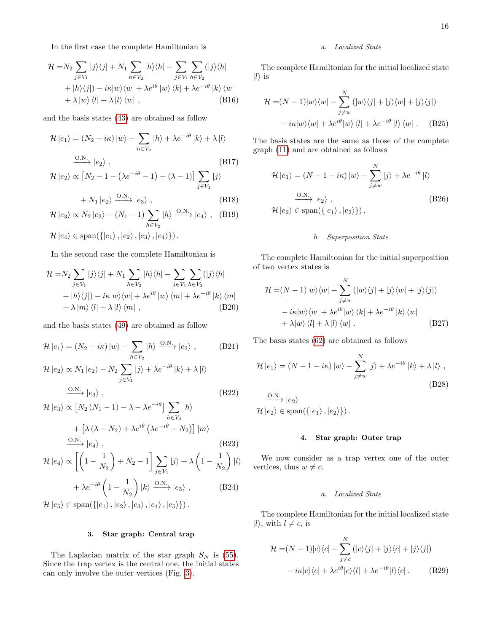In the first case the complete Hamiltonian is

$$
\mathcal{H} = N_2 \sum_{j \in V_1} |j\rangle\langle j| + N_1 \sum_{h \in V_2} |h\rangle\langle h| - \sum_{j \in V_1} \sum_{h \in V_2} (|j\rangle\langle h| + |h\rangle\langle j|) - i\kappa|w\rangle\langle w| + \lambda e^{i\theta} |w\rangle\langle k| + \lambda e^{-i\theta} |k\rangle\langle w| + \lambda |w\rangle\langle l| + \lambda |l\rangle\langle w| , \tag{B16}
$$

and the basis states [\(43\)](#page-7-3) are obtained as follow

$$
\mathcal{H}|e_1\rangle = (N_2 - i\kappa)|w\rangle - \sum_{h \in V_2} |h\rangle + \lambda e^{-i\theta} |k\rangle + \lambda |l\rangle
$$
  

$$
\xrightarrow{\text{O.N.}} |e_2\rangle ,
$$
 (B17)

$$
\mathcal{H} \left| e_2 \right\rangle \propto \left[ N_2 - 1 - \left( \lambda e^{-i\theta} - 1 \right) + \left( \lambda - 1 \right) \right] \sum_{j \in V_1} |j\rangle
$$

$$
+ N_1 \left| e_2 \right\rangle \xrightarrow{\text{O.N.}} \left| e_3 \right\rangle , \tag{B18}
$$

$$
\mathcal{H}|e_3\rangle \propto N_2|e_3\rangle - (N_1 - 1) \sum_{h \in V_2} |h\rangle \xrightarrow{\text{O.N.}} |e_4\rangle , \quad \text{(B19)}
$$
  

$$
\mathcal{H}|e_4\rangle \in \text{span}(\{|e_1\rangle, |e_2\rangle, |e_3\rangle, |e_4\rangle\}).
$$

In the second case the complete Hamiltonian is

$$
\mathcal{H} = N_2 \sum_{j \in V_1} |j\rangle\langle j| + N_1 \sum_{h \in V_2} |h\rangle\langle h| - \sum_{j \in V_1} \sum_{h \in V_2} (|j\rangle\langle h| + |h\rangle\langle j|) - i\kappa|w\rangle\langle w| + \lambda e^{i\theta} |w\rangle\langle m| + \lambda e^{-i\theta} |k\rangle\langle m| + \lambda |m\rangle\langle l| + \lambda |l\rangle\langle m| , \qquad (B20)
$$

and the basis states [\(49\)](#page-7-4) are obtained as follow

$$
\mathcal{H}|e_1\rangle = (N_2 - i\kappa)|w\rangle - \sum_{h \in V_2} |h\rangle \xrightarrow{\text{O.N.}} |e_2\rangle , \qquad \text{(B21)}
$$

$$
\mathcal{H}|e_2\rangle \propto N_1|e_2\rangle - N_2 \sum_{j \in V_1} |j\rangle + \lambda e^{-i\theta} |k\rangle + \lambda |l\rangle
$$
  

$$
\xrightarrow{\text{O.N.}} |e_3\rangle , \qquad (B22)
$$

$$
\mathcal{H} |e_3\rangle \propto \left[ N_2 \left( N_1 - 1 \right) - \lambda - \lambda e^{-i\theta} \right] \sum_{h \in V_2} |h\rangle
$$
  
+ 
$$
\left[ \lambda \left( \lambda - N_2 \right) + \lambda e^{i\theta} \left( \lambda e^{-i\theta} - N_2 \right) \right] |m\rangle
$$
  

$$
\xrightarrow{\text{O.N.}} |e_4\rangle , \qquad (B23)
$$

$$
\mathcal{H} |e_4\rangle \propto \left[ \left( 1 - \frac{1}{N_2} \right) + N_2 - 1 \right] \sum_{j \in V_1} |j\rangle + \lambda \left( 1 - \frac{1}{N_2} \right) |l\rangle
$$

$$
+ \lambda e^{-i\theta} \left( 1 - \frac{1}{N_2} \right) |k\rangle \xrightarrow{\text{O.N.}} |e_5\rangle , \qquad \text{(B24)}
$$

 $\mathcal{H} |e_5\rangle \in \text{span}(\{|e_1\rangle, |e_2\rangle, |e_3\rangle, |e_4\rangle, |e_5\rangle\}).$ 

# <span id="page-15-0"></span>3. Star graph: Central trap

The Laplacian matrix of the star graph  $S_N$  is [\(55\)](#page-8-3). Since the trap vertex is the central one, the initial states can only involve the outer vertices (Fig. [3\)](#page-8-1).

# a. Localized State

The complete Hamiltonian for the initial localized state  $|l\rangle$  is

$$
\mathcal{H} = (N-1)|w\rangle\langle w| - \sum_{j \neq w}^{N} (|w\rangle\langle j| + |j\rangle\langle w| + |j\rangle\langle j|)
$$

$$
-i\kappa|w\rangle\langle w| + \lambda e^{i\theta}|w\rangle\langle l| + \lambda e^{-i\theta}|l\rangle\langle w|.
$$
 (B25)

The basis states are the same as those of the complete graph [\(11\)](#page-3-3) and are obtained as follows

$$
\mathcal{H}|e_1\rangle = (N - 1 - i\kappa)|w\rangle - \sum_{j \neq w}^{N} |j\rangle + \lambda e^{-i\theta} |l\rangle
$$
  

$$
\xrightarrow{\text{O.N.}} |e_2\rangle ,
$$
  

$$
\mathcal{H}|e_2\rangle \in \text{span}(\{|e_1\rangle, |e_2\rangle\}).
$$
 (B26)

# b. Superposition State

The complete Hamiltonian for the initial superposition of two vertex states is

$$
\mathcal{H} = (N-1)|w\rangle\langle w| - \sum_{j \neq w}^{N} (|w\rangle\langle j| + |j\rangle\langle w| + |j\rangle\langle j|)
$$

$$
- i\kappa|w\rangle\langle w| + \lambda e^{i\theta}|w\rangle\langle k| + \lambda e^{-i\theta}|k\rangle\langle w|
$$

$$
+ \lambda|w\rangle\langle l| + \lambda|l\rangle\langle w|.
$$
 (B27)

The basis states [\(62\)](#page-9-5) are obtained as follows

$$
\mathcal{H}|e_1\rangle = (N - 1 - i\kappa)|w\rangle - \sum_{j \neq w}^{N} |j\rangle + \lambda e^{-i\theta} |k\rangle + \lambda |l\rangle ,
$$
\n(B28)

 $\xrightarrow{\mathrm{O.N.}} |e_2\rangle$  $\mathcal{H} |e_2\rangle \in \text{span}(\{|e_1\rangle, |e_2\rangle\}).$ 

## <span id="page-15-1"></span>4. Star graph: Outer trap

We now consider as a trap vertex one of the outer vertices, thus  $w \neq c$ .

# a. Localized State

The complete Hamiltonian for the initial localized state  $|l\rangle$ , with  $l \neq c$ , is

$$
\mathcal{H} = (N-1)|c\rangle\langle c| - \sum_{j \neq c}^{N} (|c\rangle\langle j| + |j\rangle\langle c| + |j\rangle\langle j|)
$$

$$
- i\kappa|c\rangle\langle c| + \lambda e^{i\theta}|c\rangle\langle l| + \lambda e^{-i\theta}|l\rangle\langle c|.
$$
 (B29)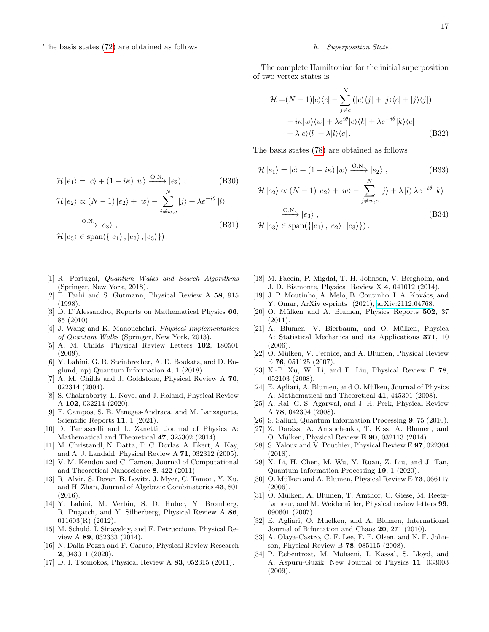$\mathcal{H}\left|e_2\right\rangle \propto (N-1)\left|e_2\right\rangle + \left|w\right\rangle - \sum_{i=1}^N\left|e_i\right\rangle$ 

 $\mathcal{H} |e_3\rangle \in \text{span}(\{|e_1\rangle, |e_2\rangle, |e_3\rangle\})$ .

## b. Superposition State

The complete Hamiltonian for the initial superposition of two vertex states is

$$
\mathcal{H} = (N-1)|c\rangle\langle c| - \sum_{j \neq c}^{N} (|c\rangle\langle j| + |j\rangle\langle c| + |j\rangle\langle j|)
$$

$$
-i\kappa|w\rangle\langle w| + \lambda e^{i\theta}|c\rangle\langle k| + \lambda e^{-i\theta}|k\rangle\langle c|
$$

$$
+ \lambda|c\rangle\langle l| + \lambda|l\rangle\langle c|.
$$
 (B32)

The basis states [\(78\)](#page-11-5) are obtained as follows

$$
\mathcal{H}|e_1\rangle = |c\rangle + (1 - i\kappa)|w\rangle \xrightarrow{\text{O.N.}} |e_2\rangle ,
$$
 (B33)

$$
\mathcal{H} |e_2\rangle \propto (N-1) |e_2\rangle + |w\rangle - \sum_{j \neq w, c} |j\rangle + \lambda |l\rangle \lambda e^{-i\theta} |k\rangle
$$

$$
\frac{0 \cdot N}{\mathcal{H} |e_3\rangle} |e_3\rangle ,
$$
\n
$$
\mathcal{H} |e_3\rangle \in \text{span}(\{|e_1\rangle, |e_2\rangle, |e_3\rangle\}).
$$
\n(B34)

<span id="page-16-0"></span>[1] R. Portugal, Quantum Walks and Search Algorithms (Springer, New York, 2018).

 $\mathcal{H}|e_1\rangle = |c\rangle + (1 - i\kappa)|w\rangle \xrightarrow{\text{O.N.}} |e_2\rangle,$  (B30)

 $j \neq w, c$ 

 $\xrightarrow{O.N.} |e_3\rangle$ , (B31)

 $|j\rangle + \lambda e^{-i\theta} |l\rangle$ 

- <span id="page-16-1"></span>[2] E. Farhi and S. Gutmann, Physical Review A 58, 915 (1998).
- <span id="page-16-2"></span>[3] D. D'Alessandro, Reports on Mathematical Physics 66, 85 (2010).
- <span id="page-16-3"></span>[4] J. Wang and K. Manouchehri, Physical Implementation of Quantum Walks (Springer, New York, 2013).
- <span id="page-16-4"></span>[5] A. M. Childs, Physical Review Letters 102, 180501 (2009).
- [6] Y. Lahini, G. R. Steinbrecher, A. D. Bookatz, and D. Englund, npj Quantum Information 4, 1 (2018).
- [7] A. M. Childs and J. Goldstone, Physical Review A 70, 022314 (2004).
- [8] S. Chakraborty, L. Novo, and J. Roland, Physical Review A 102, 032214 (2020).
- [9] E. Campos, S. E. Venegas-Andraca, and M. Lanzagorta, Scientific Reports 11, 1 (2021).
- <span id="page-16-5"></span>[10] D. Tamascelli and L. Zanetti, Journal of Physics A: Mathematical and Theoretical 47, 325302 (2014).
- <span id="page-16-6"></span>[11] M. Christandl, N. Datta, T. C. Dorlas, A. Ekert, A. Kay, and A. J. Landahl, Physical Review A 71, 032312 (2005).
- [12] V. M. Kendon and C. Tamon, Journal of Computational and Theoretical Nanoscience 8, 422 (2011).
- <span id="page-16-7"></span>[13] R. Alvir, S. Dever, B. Lovitz, J. Myer, C. Tamon, Y. Xu, and H. Zhan, Journal of Algebraic Combinatorics 43, 801 (2016).
- <span id="page-16-8"></span>[14] Y. Lahini, M. Verbin, S. D. Huber, Y. Bromberg, R. Pugatch, and Y. Silberberg, Physical Review A 86, 011603(R) (2012).
- <span id="page-16-9"></span>[15] M. Schuld, I. Sinayskiy, and F. Petruccione, Physical Review A 89, 032333 (2014).
- <span id="page-16-10"></span>[16] N. Dalla Pozza and F. Caruso, Physical Review Research 2, 043011 (2020).
- <span id="page-16-11"></span>[17] D. I. Tsomokos, Physical Review A 83, 052315 (2011).
- [18] M. Faccin, P. Migdał, T. H. Johnson, V. Bergholm, and J. D. Biamonte, Physical Review X 4, 041012 (2014).
- <span id="page-16-12"></span>[19] J. P. Moutinho, A. Melo, B. Coutinho, I. A. Kovács, and Y. Omar, ArXiv e-prints (2021), [arXiv:2112.04768.](https://arxiv.org/abs/2112.04768)
- <span id="page-16-13"></span>[20] O. Mülken and A. Blumen, Physics Reports 502, 37 (2011).
- [21] A. Blumen, V. Bierbaum, and O. Mülken, Physica A: Statistical Mechanics and its Applications 371, 10 (2006).
- [22] O. Mülken, V. Pernice, and A. Blumen, Physical Review E 76, 051125 (2007).
- [23] X.-P. Xu, W. Li, and F. Liu, Physical Review E 78, 052103 (2008).
- [24] E. Agliari, A. Blumen, and O. Mülken, Journal of Physics A: Mathematical and Theoretical 41, 445301 (2008).
- [25] A. Rai, G. S. Agarwal, and J. H. Perk, Physical Review A 78, 042304 (2008).
- [26] S. Salimi, Quantum Information Processing 9, 75 (2010).
- [27] Z. Darázs, A. Anishchenko, T. Kiss, A. Blumen, and O. Mülken, Physical Review E **90**, 032113 (2014).
- [28] S. Yalouz and V. Pouthier, Physical Review E 97, 022304 (2018).
- <span id="page-16-14"></span>[29] X. Li, H. Chen, M. Wu, Y. Ruan, Z. Liu, and J. Tan, Quantum Information Processing 19, 1 (2020).
- <span id="page-16-15"></span>[30] O. Mülken and A. Blumen, Physical Review E  $73$ , 066117 (2006).
- <span id="page-16-16"></span>[31] O. Mülken, A. Blumen, T. Amthor, C. Giese, M. Reetz-Lamour, and M. Weidemüller, Physical review letters 99, 090601 (2007).
- <span id="page-16-17"></span>[32] E. Agliari, O. Muelken, and A. Blumen, International Journal of Bifurcation and Chaos 20, 271 (2010).
- <span id="page-16-18"></span>[33] A. Olaya-Castro, C. F. Lee, F. F. Olsen, and N. F. Johnson, Physical Review B 78, 085115 (2008).
- <span id="page-16-19"></span>[34] P. Rebentrost, M. Mohseni, I. Kassal, S. Lloyd, and A. Aspuru-Guzik, New Journal of Physics 11, 033003 (2009).